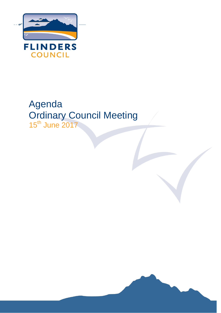

# Agenda Ordinary Council Meeting 15<sup>th</sup> June 2017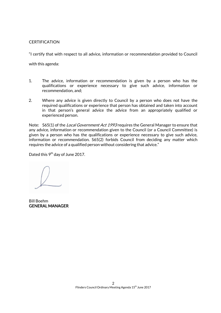# **CERTIFICATION**

"I certify that with respect to all advice, information or recommendation provided to Council

with this agenda:

- 1. The advice, information or recommendation is given by a person who has the qualifications or experience necessary to give such advice, information or recommendation, and;
- 2. Where any advice is given directly to Council by a person who does not have the required qualifications or experience that person has obtained and taken into account in that person's general advice the advice from an appropriately qualified or experienced person.

Note: S65(1) of the *Local Government Act 1993* requires the General Manager to ensure that any advice, information or recommendation given to the Council (or a Council Committee) is given by a person who has the qualifications or experience necessary to give such advice, information or recommendation. S65(2) forbids Council from deciding any matter which requires the advice of a qualified person without considering that advice."

Dated this  $9^{\text{th}}$  day of June 2017.

Bill Boehm GENERAL MANAGER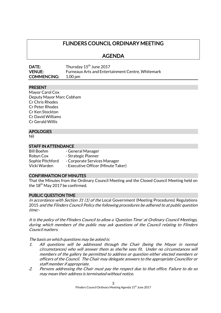# FLINDERS COUNCIL ORDINARY MEETING

AGENDA

| DATE:              | Thursday 15 <sup>th</sup> June 2017                      |
|--------------------|----------------------------------------------------------|
| <b>VENUE:</b>      | <b>Furneaux Arts and Entertainment Centre, Whitemark</b> |
| <b>COMMENCING:</b> | 1.00 pm                                                  |

# PRESENT

Mayor Carol Cox Deputy Mayor Marc Cobham Cr Chris Rhodes Cr Peter Rhodes Cr Ken Stockton Cr David Williams Cr Gerald Willis

#### **APOLOGIES**

Nil

#### STAFF IN ATTENDANCE

Bill Boehm - General Manager Robyn Cox Fatrategic Planner

Sophie Pitchford - Corporate Services Manager

Vicki Warden - Executive Officer (Minute Taker)

#### CONFIRMATION OF MINUTES

That the Minutes from the Ordinary Council Meeting and the Closed Council Meeting held on the 18<sup>th</sup> May 2017 be confirmed.

#### PUBLIC QUESTION TIME

In accordance with Section 31 (1) of the Local Government (Meeting Procedures) Regulations 2015 and the Flinders Council Policy the following procedures be adhered to at public question time:-

It is the policy of the Flinders Council to allow a 'Question Time' at Ordinary Council Meetings, during which members of the public may ask questions of the Council relating to Flinders Council matters.

The basis on which questions may be asked is:

- 1. All questions will be addressed through the Chair (being the Mayor in normal circumstances) who will answer them as she/he sees fit. Under no circumstances will members of the gallery be permitted to address or question either elected members or officers of the Council. The Chair may delegate answers to the appropriate Councillor or staff member if appropriate.
- 2. Persons addressing the Chair must pay the respect due to that office. Failure to do so may mean their address is terminated without notice.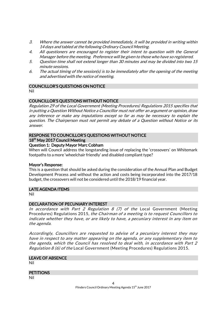- 3. Where the answer cannot be provided immediately, it will be provided in writing within 14 days and tabled at the following Ordinary Council Meeting.
- 4. All questioners are encouraged to register their intent to question with the General Manager before the meeting. Preference will be given to those who have so registered.
- 5. Question time shall not extend longer than 30 minutes and may be divided into two 15 minute sessions.
- 6. The actual timing of the session(s) is to be immediately after the opening of the meeting and advertised with the notice of meeting.

#### COUNCILLOR'S QUESTIONS ON NOTICE

Nil

# COUNCILLOR'S QUESTIONS WITHOUT NOTICE

Regulation 29 of the Local Government (Meeting Procedures) Regulations 2015 specifies that in putting a Question Without Notice a Councillor must not offer an argument or opinion, draw any inference or make any imputations except so far as may be necessary to explain the question. The Chairperson must not permit any debate of a Question without Notice or its answer.

# RESPONSE TO COUNCILLOR'S QUESTIONS WITHOUT NOTICE

#### 18<sup>th</sup> May 2017 Council Meeting

# Question 1: Deputy Mayor Marc Cobham

When will Council address the longstanding issue of replacing the 'crossovers' on Whitemark footpaths to a more 'wheelchair friendly' and disabled compliant type?

#### Mayor's Response:

This is a question that should be asked during the consideration of the Annual Plan and Budget Development Process and without the action and costs being incorporated into the 2017/18 budget, the crossovers will not be considered until the 2018/19 financial year.

#### LATE AGENDA ITEMS

Nil

# DECLARATION OF PECUNIARY INTEREST

In accordance with Part 2 Regulation 8  $(7)$  of the Local Government (Meeting Procedures) Regulations 2015, the Chairman of a meeting is to request Councillors to indicate whether they have, or are likely to have, a pecuniary interest in any item on the agenda.

Accordingly, Councillors are requested to advise of a pecuniary interest they may have in respect to any matter appearing on the agenda, or any supplementary item to the agenda, which the Council has resolved to deal with, in accordance with Part 2 *Regulation 8 (6) of the* Local Government (Meeting Procedures) Regulations 2015.

#### LEAVE OF ABSENCE Nil

#### **PETITIONS**

Nil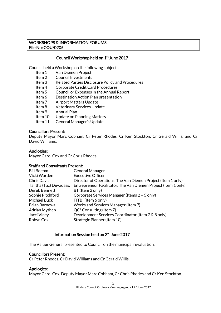# WORKSHOPS & INFORMATION FORUMS File No: COU/0205

# Council Workshop held on 1<sup>st</sup> June 2017

Council held a Workshop on the following subjects:

- Item 1 Van Diemen Project
- Item 2 Council Investments
- Item 3 Related Parties Disclosure Policy and Procedures
- Item 4 Corporate Credit Card Procedures
- Item 5 Councillor Expenses in the Annual Report
- Item 6 Destination Action Plan presentation
- Item 7 Airport Matters Update
- Item 8 Veterinary Services Update
- Item 9 Annual Plan
- Item 10 Update on Planning Matters
- Item 11 General Manager's Update

#### Councillors Present:

Deputy Mayor Marc Cobham, Cr Peter Rhodes, Cr Ken Stockton, Cr Gerald Willis, and Cr David Williams.

#### Apologies:

Mayor Carol Cox and Cr Chris Rhodes.

#### Staff and Consultants Present:

| <b>Bill Boehm</b>       | <b>General Manager</b>                                         |  |
|-------------------------|----------------------------------------------------------------|--|
| Vicki Warden            | <b>Executive Officer</b>                                       |  |
| Chris Davis             | Director of Operations, The Van Diemen Project (Item 1 only)   |  |
| Talitha (Taz) Devadass, | Entrepreneur Facilitator, The Van Diemen Project (Item 1 only) |  |
| Derek Bennett           | BT (Item 2 only)                                               |  |
| Sophie Pitchford        | Corporate Services Manager (Items 2 - 5 only)                  |  |
| Michael Buck            | FITBI (Item 6 only)                                            |  |
| <b>Brian Barnewall</b>  | Works and Services Manager (Item 7)                            |  |
| <b>Adrian Mythen</b>    | $QC3$ Consulting (Item 7)                                      |  |
| Jacci Viney             | Development Services Coordinator (Item 7 & 8 only)             |  |
| Robyn Cox               | Strategic Planner (Item 10)                                    |  |
|                         |                                                                |  |

#### Information Session held on 2<sup>nd</sup> June 2017

The Valuer General presented to Council on the municipal revaluation.

#### Councillors Present:

Cr Peter Rhodes, Cr David Williams and Cr Gerald Willis.

#### Apologies:

Mayor Carol Cox, Deputy Mayor Marc Cobham, Cr Chris Rhodes and Cr Ken Stockton.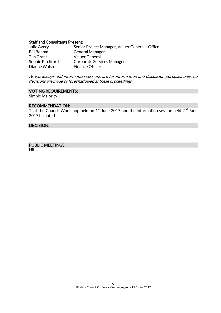#### Staff and Consultants Present:

| Julie Avery      | Senior Project Manager, Valuer General's Office |
|------------------|-------------------------------------------------|
| Bill Boehm       | <b>General Manager</b>                          |
| <b>Tim Grant</b> | Valuer General                                  |
| Sophie Pitchford | Corporate Services Manager                      |
| Dianne Walsh     | <b>Finance Officer</b>                          |

As workshops and information sessions are for information and discussion purposes only, no decisions are made or foreshadowed at these proceedings.

#### VOTING REQUIREMENTS:

Simple Majority

#### RECOMMENDATION:

That the Council Workshop held on  $1^\text{st}$  June 2017 and the information session held  $2^\text{nd}$  June 2017 be noted.

# DECISION:

# PUBLIC MEETINGS

Nil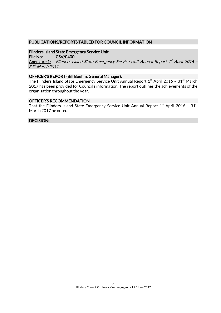# PUBLICATIONS/REPORTS TABLED FOR COUNCIL INFORMATION

Flinders Island State Emergency Service Unit File No: CSV/0400 <u>Annexure 1:</u> Flinders Island State Emergency Service Unit Annual Report 1<sup>st</sup> April 2016 -31<sup>st</sup> March 2017

# OFFICER'S REPORT (Bill Boehm, General Manager):

The Flinders Island State Emergency Service Unit Annual Report  $1^\mathrm{st}$  April 2016 – 31 $^\mathrm{st}$  March 2017 has been provided for Council's information. The report outlines the achievements of the organisation throughout the year.

#### OFFICER'S RECOMMENDATION

That the Flinders Island State Emergency Service Unit Annual Report  $1^{\rm st}$  April 2016 –  $31^{\rm st}$ March 2017 be noted.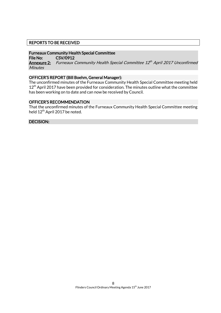# REPORTS TO BE RECEIVED

#### Furneaux Community Health Special Committee

File No: CSV/0912

**Annexure 2:** Furneaux Community Health Special Committee 12th April 2017 Unconfirmed **Minutes** 

#### OFFICER'S REPORT (Bill Boehm, General Manager):

The unconfirmed minutes of the Furneaux Community Health Special Committee meeting held  $12<sup>th</sup>$  April 2017 have been provided for consideration. The minutes outline what the committee has been working on to date and can now be received by Council.

#### OFFICER'S RECOMMENDATION

That the unconfirmed minutes of the Furneaux Community Health Special Committee meeting held 12<sup>th</sup> April 2017 be noted.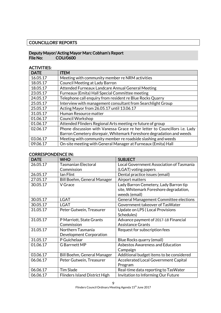# COUNCILLORS' REPORTS

# Deputy Mayor/ Acting Mayor Marc Cobham's Report COU/0600

# ACTIVITIES:

| <b>DATE</b> | <b>ITEM</b>                                                                |  |
|-------------|----------------------------------------------------------------------------|--|
| 16.05.17    | Meeting with community member re NRM activities                            |  |
| 18.05.17    | <b>Council Meeting at Lady Barron</b>                                      |  |
| 18.05.17    | Attended Furneaux Landcare Annual General Meeting                          |  |
| 23.05.17    | Furneaux (Emita) Hall Special Committee meeting                            |  |
| 24.05.17    | Telephone call enquiry from resident re Blue Rocks Quarry                  |  |
| 25.05.17    | Interview with management consultant from Searchlight Group                |  |
| 25.05.17    | Acting Mayor from 26.05.17 until 13.06.17                                  |  |
| 31.05.17    | Human Resource matter                                                      |  |
| 01.06.17    | <b>Council Workshop</b>                                                    |  |
| 01.06.17    | Attended Flinders Regional Arts meeting refuture of group                  |  |
| 02.06.17    | Phone discussion with Vanessa Grace re her letter to Councillors i.e. Lady |  |
|             | Barron Cemetery disrepair, Whitemark Foreshore degradation and weeds       |  |
| 03.06.17    | Meeting with community member re roadside slashing and weeds               |  |
| 09.06.17    | On-site meeting with General Manager at Furneaux (Emita) Hall              |  |

# CORRESPONDENCE IN:

| <b>DATE</b> | <b>WHO</b>                           | <b>SUBJECT</b>                                |
|-------------|--------------------------------------|-----------------------------------------------|
| 26.05.17    | <b>Tasmanian Electoral</b>           | Local Government Association of Tasmania      |
|             | Commission                           | (LGAT) voting papers                          |
| 26.05.17    | lan Flint                            | Dental practice issues (email)                |
| 27.05.17    | Bill Boehm, General Manager          | Airport matters                               |
| 30.05.17    | V Grace                              | Lady Barron Cemetery, Lady Barron tip         |
|             |                                      | site, Whitemark Foreshore degradation,        |
|             |                                      | weeds (email)                                 |
| 30.05.17    | <b>LGAT</b>                          | <b>General Management Committee elections</b> |
| 30.05.17    | <b>LGAT</b>                          | Government takeover of TasWater               |
| 31.05.17    | Peter Gutwein, Treasurer             | Update on LPS (Local Provisions               |
|             |                                      | Schedules)                                    |
| 31.05.17    | P Marriott, State Grants             | Advance payment of 2017-18 Financial          |
|             | Commission                           | <b>Assistance Grants</b>                      |
| 31.05.17    | Northern Tasmania                    | Request for subscription fees                 |
|             | Development Corporation              |                                               |
| 31.05.17    | P Guichelaar                         | Blue Rocks quarry (email)                     |
| 01.06.17    | <b>G</b> Barrnett MP                 | <b>Asbestos Awareness and Education</b>       |
|             |                                      | Campaign                                      |
| 03.06.17    | Bill Boehm, General Manager          | Additional budget items to be considered      |
| 06.06.17    | Peter Gutwein, Treasurer             | <b>Accelerated Local Government Capital</b>   |
|             |                                      | Program                                       |
| 06.06.17    | <b>Tim Slade</b>                     | Real-time data reporting to TasWater          |
| 06.06.17    | <b>Flinders Island District High</b> | Invitation to Informing Our Future            |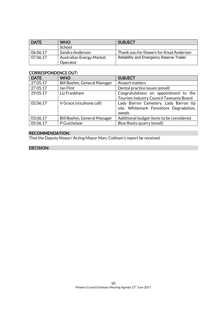| I DATE   | <b>WHO</b>                      | <b>SUBJECT</b>                           |
|----------|---------------------------------|------------------------------------------|
|          | School                          |                                          |
| 06.06.17 | Sandra Anderson                 | Thank you for flowers for Knud Andersen  |
| 07.06.17 | <b>Australian Energy Market</b> | Reliability and Emergency Reserve Trader |
|          | Operator                        |                                          |

# CORRESPONDENCE OUT:

| <b>DATE</b> | <b>WHO</b>                         | <b>SUBJECT</b>                                                                           |
|-------------|------------------------------------|------------------------------------------------------------------------------------------|
| 27.05.17    | Bill Boehm, General Manager        | Airport matters                                                                          |
| 27.05.17    | lan Flint                          | Dental practice issues (email)                                                           |
| 29.05.17    | Liz Frankham                       | Congratulations on appointment to the<br>Tourism Industry Council Tasmania Board         |
| 02.06.17    | V Grace (via phone call)           | Lady Barron Cemetery, Lady Barron tip<br>site, Whitemark Foreshore Degradation,<br>weeds |
| 03.06.17    | <b>Bill Boehm, General Manager</b> | Additional budget items to be considered                                                 |
| 05.06.17    | P Guichelaar                       | Blue Rocks quarry (email)                                                                |

# RECOMMENDATION:

That the Deputy Mayor/ Acting Mayor Marc Cobham's report be received.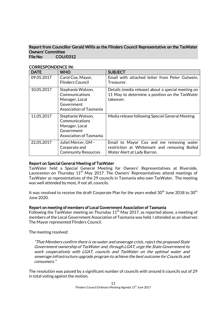#### Report from Councillor Gerald Willis as the Flinders Council Representative on the TasWater Owners' Committee File No: COU/0312

| <b>DATE</b> | <b>WHO</b>                                                                                     | <b>SUBJECT</b>                                                                                                          |
|-------------|------------------------------------------------------------------------------------------------|-------------------------------------------------------------------------------------------------------------------------|
| 09.05.2017  | Carol Cox, Mayor,<br><b>Flinders Council</b>                                                   | Email with attached letter from Peter Gutwein,<br>Treasurer.                                                            |
| 10.05.2017  | Stephanie Watson,<br>Communications<br>Manager, Local<br>Government<br>Association of Tasmania | Details (media release) about a special meeting on<br>11 May to determine a position on the TasWater<br>takeover.       |
| 11.05.2017  | Stephanie Watson,<br>Communications<br>Manager, Local<br>Government<br>Association of Tasmania | Media release following Special General Meeting                                                                         |
| 22.05.2017  | Juliet Mercer, GM -<br>Corporate and<br><b>Community Resources</b>                             | Email to Mayor Cox and me removing water<br>restriction at Whitemark and removing Boiled<br>Water Alert at Lady Barron. |

# CORRESPONDENCE IN:

# Report on Special General Meeting of TasWater

TasWater held a Special General Meeting for Owners' Representatives at Riverside, Launceston on Thursday  $11<sup>th</sup>$  May 2017. The Owners' Representatives attend meetings of TasWater as representatives of the 29 councils in Tasmania who own TasWater. The meeting was well attended by most, if not all, councils.

It was resolved to receive the draft Corporate Plan for the years ended 30 $^{\rm th}$  June 2018 to 30 $^{\rm th}$ June 2020.

#### Report on meeting of members of Local Government Association of Tasmania

Following the TasWater meeting on Thursday  $11<sup>th</sup>$  May 2017, as reported above, a meeting of members of the Local Government Association of Tasmania was held. I attended as an observer. The Mayor represented Flinders Council.

The meeting resolved:

"That Members confirm there is no water and sewerage crisis, reject the proposed State Government ownership of TasWater and, through LGAT, urge the State Government to work cooperatively with LGAT, councils and TasWater on the optimal water and sewerage infrastructure upgrade program to achieve the best outcome for Councils and consumers."

The resolution was passed by a significant number of councils with around 6 councils out of 29 in total voting against the motion.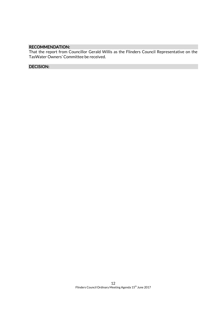# RECOMMENDATION:

That the report from Councillor Gerald Willis as the Flinders Council Representative on the TasWater Owners' Committee be received.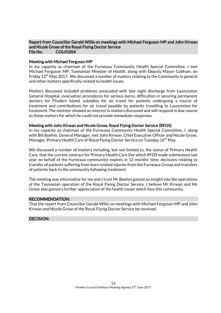#### Report from Councillor Gerald Willis on meetings with Michael Ferguson MP and John Kirwan and Nicole Grose of the Royal Flying Doctor Service File No: COU/0204

#### Meeting with Michael Ferguson MP

In my capacity as chairman of the Furneaux Community Health Special Committee, I met Michael Ferguson MP, Tasmanian Minister of Health, along with Deputy Mayor Cobham, on Friday  $12<sup>th</sup>$  May 2017. We discussed a number of matters relating to the Community in general and other matters specifically related to health issues.

Matters discussed included problems associated with late night discharge from Launceston General Hospital, evacuation procedures for serious burns, difficulties in securing permanent doctors for Flinders Island, subsidies for air travel for patients undergoing a course of treatment and contributions for air travel payable by patients travelling to Launceston for treatment. The minister showed an interest in matters discussed and will respond in due course to those matters for which he could not provide immediate responses.

#### Meeting with John Kirwan and Nicole Grose, Royal Flying Doctor Service (RFDS)

In my capacity as chairman of the Furneaux Community Health Special Committee, I, along with Bill Boehm, General Manager, met John Kirwan, Chief Executive Officer and Nicole Grose, Manager, Primary Health Care of Royal Flying Doctor Service on Tuesday 16<sup>th</sup> May.

We discussed a number of matters including, but not limited to, the status of Primary Health Care, that the current contract for Primary Health Care (for which RFDS made submissions last year on behalf of the Furneaux community) expires in 12 months' time, decisions relating to transfer of patients suffering from burn related injuries from the Furneaux Group and transfers of patients back to the community following treatment.

The meeting was informative for me and I trust Mr Boehm gained an insight into the operations of the Tasmanian operation of the Royal Flying Doctor Service. I believe Mr Kirwan and Ms Grose also gained a further appreciation of the health issues which face this community.

#### RECOMMENDATION:

That the report from Councillor Gerald Willis on meetings with Michael Ferguson MP and John Kirwan and Nicole Grose of the Royal Flying Doctor Service be received.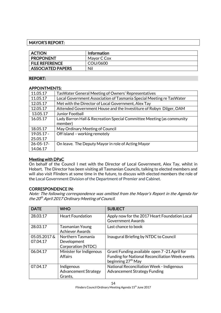# MAYOR'S REPORT:

| <b>ACTION</b>            | <b>Information</b> |
|--------------------------|--------------------|
| <b>PROPONENT</b>         | Mayor C Cox        |
| <b>FILE REFERENCE</b>    | COU/0600           |
| <b>ASSOCIATED PAPERS</b> | Nil                |

# REPORT:

# APPOINTMENTS:

| 11.05.17       | Tas Water General Meeting of Owners' Representatives                  |
|----------------|-----------------------------------------------------------------------|
| 11.05.17       | Local Government Association of Tasmania Special Meeting re Tas Water |
| 12.05.17       | Met with the Director of Local Government, Alex Tay                   |
| 12.05.17       | Attended Government House and the Investiture of Robyn Dilger, OAM    |
| 13.05.17       | Junior Football                                                       |
| 16.05.17       | Lady Barron Hall & Recreation Special Committee Meeting (as community |
|                | member)                                                               |
| 18.05.17       | May Ordinary Meeting of Council                                       |
| $19.05.17 -$   | Off island - working remotely                                         |
| 25.05.17       |                                                                       |
| $26 - 05 - 17$ | On leave. The Deputy Mayor in role of Acting Mayor                    |
| 14.06.17       |                                                                       |

# Meeting with DPaC

On behalf of the Council I met with the Director of Local Government, Alex Tay, whilst in Hobart. The Director has been visiting all Tasmanian Councils, talking to elected members and will also visit Flinders at some time in the future, to discuss with elected members the role of the Local Government Division of the Department of Premier and Cabinet.

# CORRESPONDENCE IN:

Note: The following correspondence was omitted from the Mayor's Report in the Agenda for the 20<sup>th</sup> April 2017 Ordinary Meeting of Council.

| <b>DATE</b>             | <b>WHO</b>                                             | <b>SUBJECT</b>                                                                                                                           |
|-------------------------|--------------------------------------------------------|------------------------------------------------------------------------------------------------------------------------------------------|
| 28.03.17                | <b>Heart Foundation</b>                                | Apply now for the 2017 Heart Foundation Local<br><b>Government Awards</b>                                                                |
| 28.03.17                | <b>Tasmanian Young</b><br><b>Achiever Awards</b>       | Last chance to book                                                                                                                      |
| 05.05.2017&<br>07.04.17 | Northern Tasmania<br>Development<br>Corporation (NTDC) | Inaugural Briefing by NTDC to Council                                                                                                    |
| 06.04.17                | Minister for Indigenous<br><b>Affairs</b>              | Grant Funding available open 7 -21 April for<br><b>Funding for National Reconciliation Week events</b><br>beginning 27 <sup>th</sup> May |
| 07.04.17                | Indigenous<br><b>Advancement Strategy</b><br>Grants,   | National Reconciliation Week - Indigenous<br><b>Advancement Strategy Funding</b>                                                         |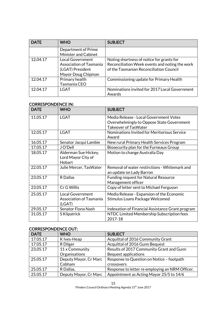| <b>DATE</b> | <b>WHO</b>                                                                                   | <b>SUBJECT</b>                                                                                                                         |
|-------------|----------------------------------------------------------------------------------------------|----------------------------------------------------------------------------------------------------------------------------------------|
|             | Department of Prime<br><b>Minister and Cabinet</b>                                           |                                                                                                                                        |
| 12.04.17    | <b>Local Government</b><br>Association of Tasmania<br>(LGAT) President<br>Mayor Doug Chipman | Noting shortness of notice for grants for<br>Reconciliation Week events and noting the work<br>of the Tasmanian Reconciliation Council |
| 12.04.17    | Primary health<br>Tasmania CEO                                                               | Commissioning update for Primary Health                                                                                                |
| 12.04.17    | <b>LGAT</b>                                                                                  | Nominations invited for 2017 Local Government<br>Awards                                                                                |

# CORRESPONDENCE IN:

| <b>DATE</b> | <b>WHO</b>                                                          | <b>SUBJECT</b>                                                                                                     |
|-------------|---------------------------------------------------------------------|--------------------------------------------------------------------------------------------------------------------|
| 11.05.17    | <b>LGAT</b>                                                         | Media Release - Local Government Votes<br>Overwhelmingly to Oppose State Government<br><b>Takeover of TasWater</b> |
| 12.05.17    | <b>LGAT</b>                                                         | Nominations Invited for Meritorious Service<br>Award                                                               |
| 16.05.17    | Senator Jacqui Lambie                                               | New rural Primary Health Services Program                                                                          |
| 17.05.17    | J O'Dell                                                            | Biosecurity plan for the Furneaux Group                                                                            |
| 18.05.17    | Alderman Sue Hickey,<br>Lord Mayor City of<br>Hobart                | Motion to change Australia Day                                                                                     |
| 22.05.17    | Julie Mercer, TasWater                                              | Removal of water restirctions - Whitemark and<br>an update on Lady Barron                                          |
| 23.05.17    | <b>R</b> Dallas                                                     | <b>Funding request for Natural Resource</b><br>Management officer                                                  |
| 23.05.17    | Cr G Willis                                                         | Copy of letter sent to Michael Ferguson                                                                            |
| 25.05.17    | <b>Local Government</b><br><b>Association of Tasmania</b><br>(LGAT) | Media Release - Expansion of the Economic<br>Stimulus Loans Package Welcomed                                       |
| 29.05.17    | Senator Fiona Nash                                                  | Indexation of Financial Assistance Grant program                                                                   |
| 31.05.17    | S Kilpatrick                                                        | NTDC Limited Membership Subscription fees<br>2017-18                                                               |

# CORRESPONDENCE OUT:

| <b>DATE</b> | <b>WHO</b>            | <b>SUBJECT</b>                                  |
|-------------|-----------------------|-------------------------------------------------|
| 17.05.17    | K Ives-Heap           | Acquittal of 2016 Community Grant               |
| 17.05.17    | R Dilger              | Acquittal of 2016 Gunn Bequest                  |
| 23.05.17    | 11 x Community        | Results of 2017 Community Grant and Gunn        |
|             | Organisations         | <b>Bequest applications</b>                     |
| 25.05.17    | Deputy Mayor, Cr Marc | Response to Question on Notice - footpath       |
|             | Cobham                | <b>crossovers</b>                               |
| 25.05.17    | R Dallas,             | Response to letter re employing an NRM Officer. |
| 25.05.17    | Deputy Mayor, Cr Marc | Appointment as Acting Mayor 25/5 to 14/6        |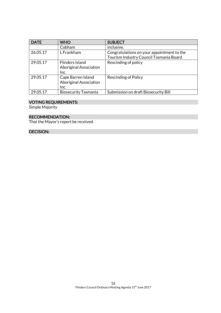| <b>DATE</b> | <b>WHO</b>                                                  | <b>SUBJECT</b>                                                                        |
|-------------|-------------------------------------------------------------|---------------------------------------------------------------------------------------|
|             | Cobham                                                      | inclusive.                                                                            |
| 26.05.17    | L Frankham                                                  | Congratulations on your appointment to the<br>Tourism Industry Council Tasmania Board |
| 29.05.17    | Flinders Island<br><b>Aboriginal Association</b><br>Inc.    | Rescinding of policy                                                                  |
| 29.05.17    | Cape Barren Island<br><b>Aboriginal Association</b><br>Inc. | <b>Rescinding of Policy</b>                                                           |
| 29.05.17    | <b>Biosecurity Tasmania</b>                                 | Submission on draft Biosecurity Bill                                                  |

# VOTING REQUIREMENTS:

Simple Majority

# RECOMMENDATION:

That the Mayor's report be received.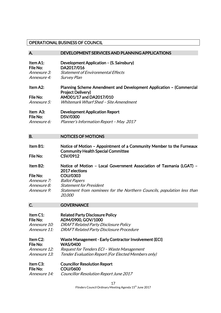# OPERATIONAL BUSINESS OF COUNCIL

| A.                                                                              | DEVELOPMENT SERVICES AND PLANNING APPLICATIONS                                                                                                                                                                                                           |
|---------------------------------------------------------------------------------|----------------------------------------------------------------------------------------------------------------------------------------------------------------------------------------------------------------------------------------------------------|
| Item A1:<br>File No:<br>Annexure 3:<br>Annexure 4:                              | Development Application - (S. Sainsbury)<br>DA2017/016<br><b>Statement of Environmental Effects</b><br><b>Survey Plan</b>                                                                                                                                |
| Item A2:<br><b>File No:</b><br>Annexure 5:<br>Item A3:<br>File No:              | Planning Scheme Amendment and Development Application - (Commercial<br><b>Project Delivery)</b><br>AMD01/17 and DA2017/010<br><b>Whitemark Wharf Shed - Site Amendment</b><br><b>Development Application Report</b><br><b>DSV/0300</b>                   |
| Annexure 6:                                                                     | Planner's Information Report - May 2017                                                                                                                                                                                                                  |
| <b>B.</b>                                                                       | <b>NOTICES OF MOTIONS</b>                                                                                                                                                                                                                                |
| Item B1:<br>File No:                                                            | Notice of Motion - Appointment of a Community Member to the Furneaux<br><b>Community Health Special Committee</b><br>CSV/0912                                                                                                                            |
| Item B2:<br><b>File No:</b><br>Annexure 7:<br><i>Annexure 8:</i><br>Annexure 9: | Notice of Motion - Local Government Association of Tasmania (LGAT) -<br>2017 elections<br><b>COU/0303</b><br><b>Ballot Papers</b><br><b>Statement for President</b><br>Statement from nominees for the Northern Councils, population less than<br>20,000 |
| C.                                                                              | <b>GOVERNANCE</b>                                                                                                                                                                                                                                        |
| Item C1:<br>File No:<br>Annexure 10:<br>Annexure 11:                            | <b>Related Party Disclosure Policy</b><br>ADM/0900, GOV/1000<br><b>DRAFT Related Party Disclosure Policy</b><br><b>DRAFT Related Party Disclosure Procedure</b>                                                                                          |
| Item C2:<br><b>File No:</b><br>Annexure 12:<br>Annexure 13:                     | <b>Waste Management - Early Contractor Involvement (ECI)</b><br><b>WAS/0400</b><br>Request for Tenders ECI - Waste Management<br>Tender Evaluation Report (For Elected Members only)                                                                     |
| Item C3:<br><b>File No:</b><br><i>Annexure 14:</i>                              | <b>Councillor Resolution Report</b><br><b>COU/0600</b><br><b>Councillor Resolution Report June 2017</b>                                                                                                                                                  |

17 Flinders Council Ordinary Meeting Agenda 15<sup>th</sup> June 2017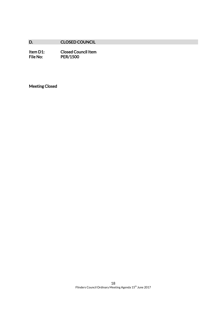# D. CLOSED COUNCIL

Item D1: Closed Council Item<br>File No: PER/1500 PER/1500

Meeting Closed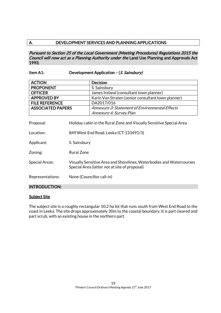# A. DEVELOPMENT SERVICES AND PLANNING APPLICATIONS

Pursuant to Section 25 of the Local Government (Meeting Procedures) Regulations 2015 the Council will now act as a Planning Authority under the Land Use Planning and Approvals Act 1993.

# Item A1: Development Application – (S. Sainsbury)

| <b>ACTION</b>            | Decision                                           |
|--------------------------|----------------------------------------------------|
| <b>PROPONENT</b>         | S. Sainsbury                                       |
| <b>OFFICER</b>           | James Ireland (consultant town planner)            |
| <b>APPROVED BY</b>       | Karin Van Straten (senior consultant town planner) |
| <b>FILE REFERENCE</b>    | DA2017/016                                         |
| <b>ASSOCIATED PAPERS</b> | Annexure 3: Statement of Environmental Effects     |
|                          | Annexure 4: Survey Plan                            |

Proposal: Holiday cabin in the Rural Zone and Visually Sensitive Special Area

Location: 849 West End Road, Leeka (CT:133491/3)

Applicant: S. Sainsbury

Zoning: Rural Zone

Special Areas: Visually Sensitive Area and Shorelines, Waterbodies and Watercourses Special Area (latter not at site of proposal)

Representations: None (Councillor call-in)

#### INTRODUCTION:

#### **Subject Site**

The subject site is a roughly rectangular 10.2 ha lot that runs south from West End Road to the coast in Leeka. The site drops approximately 30m to the coastal boundary. It is part cleared and part scrub, with an existing house in the northern part.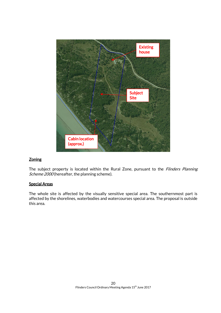

# **Zoning**

The subject property is located within the Rural Zone, pursuant to the Flinders Planning Scheme 2000 (hereafter, the planning scheme).

#### Special Areas

The whole site is affected by the visually sensitive special area. The southernmost part is affected by the shorelines, waterbodies and watercourses special area. The proposal is outside this area.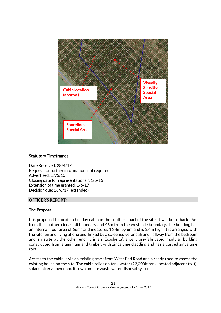

#### **Statutory Timeframes**

Date Received: 28/4/17 Request for further information: not required Advertised: 17/5/15 Closing date for representations: 31/5/15 Extension of time granted: 1/6/17 Decision due: 16/6/17 (extended)

#### OFFICER'S REPORT:

# The Proposal

It is proposed to locate a holiday cabin in the southern part of the site. It will be setback 25m from the southern (coastal) boundary and 46m from the west side boundary. The building has an internal floor area of 66m $^2$  and measures 16.4m by 6m and is 3.4m high. It is arranged with the kitchen and living at one end, linked by a screened verandah and hallway from the bedroom and en suite at the other end. It is an 'Ecoshelta', a part pre-fabricated modular building constructed from aluminium and timber, with zincalume cladding and has a curved zincalume roof.

Access to the cabin is via an existing track from West End Road and already used to assess the existing house on the site. The cabin relies on tank water (22,000lt tank located adjacent to it), solar/battery power and its own on-site waste water disposal system.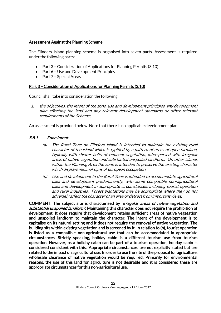# Assessment Against the Planning Scheme

The Flinders Island planning scheme is organised into seven parts. Assessment is required under the following parts:

- Part 3 Consideration of Applications for Planning Permits (3.10)
- Part 6 Use and Development Principles
- Part 7 Special Areas

#### Part 3 – Consideration of Applications for Planning Permits (3.10)

Council shall take into consideration the following:

1. the objectives, the intent of the zone, use and development principles, any development plan affecting the land and any relevant development standards or other relevant requirements of the Scheme;

An assessment is provided below. Note that there is no applicable development plan:

# 5.8.1 Zone Intent

- (a) The Rural Zone on Flinders Island is intended to maintain the existing rural character of the island which is typified by a pattern of areas of open farmland, typically with shelter belts of remnant vegetation, interspersed with irregular areas of native vegetation and substantial unspoiled landform. On other islands within the Planning Area the zone is intended to preserve the existing character which displays minimal signs of European occupation.
- (b) Use and development in the Rural Zone is intended to accommodate agricultural uses and development predominantly, with some compatible non-agricultural uses and development in appropriate circumstances, including tourist operation and rural industries. Forest plantations may be appropriate where they do not adversely affect the character of an area or detract from important views.

COMMENT: The subject site is characterised by '*irregular areas of native vegetation and* substantial unspoiled landform'. Maintaining this character does not require the prohibition of development. It does require that development retains sufficient areas of native vegetation and unspoiled landform to maintain the character. The intent of the development is to capitalise on its natural setting and it does not require the removal of native vegetation. The building sits within existing vegetation and is screened by it. In relation to (b), tourist operation is listed as a compatible non-agricultural use that can be accommodated in appropriate circumstances. Strictly speaking, holiday cabin is a different tourism use from tourism operation. However, as a holiday cabin can be part of a tourism operation, holiday cabin is considered consistent with this. 'Appropriate circumstances' are not explicitly stated but are related to the impact on agricultural use. In order to use the site of the proposal for agriculture, wholesale clearance of native vegetation would be required. Primarily for environmental reasons, the use of this land for agriculture is not desirable and it is considered these are appropriate circumstances for this non-agricultural use.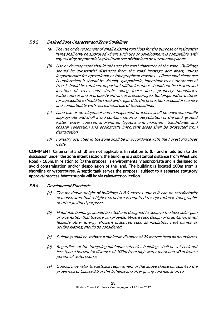# 5.8.2 Desired Zone Character and Zone Guidelines

- (a) The use or development of small existing rural lots for the purpose of residential living shall only be approved where such use or development is compatible with any existing or potential agricultural use of that land or surrounding lands.
- (b) Use or development should enhance the rural character of the zone. Buildings should be substantial distances from the road frontage and apart, unless inappropriate for operational or topographical reasons. Where land clearance is undertaken it should be visually sympathetic; important trees (or stands of trees) should be retained, important hilltop locations should not be cleared and location of trees and shrubs along fence lines, property boundaries, watercourses and at property entrances is encouraged. Buildings and structures for aquaculture should be sited with regard to the protection of coastal scenery and compatibility with recreational use of the coastline.
- (c) Land use or development and management practices shall be environmentally appropriate and shall avoid contamination or despoliation of the land, ground water, water courses, shore-lines, lagoons and marshes. Sand-dunes and coastal vegetation and ecologically important areas shall be protected from degradation.
- (d) Forestry activities in the zone shall be in accordance with the Forest Practices Code

COMMENT: Criteria (a) and (d) are not applicable. In relation to (b), and in addition to the discussion under the zone intent section, the building is a substantial distance from West End Road – 185m. In relation to (c) the proposal is environmentally appropriate and is designed to avoid contamination and/or despoliation of the land. The building is located 100m from a shoreline or watercourse. A septic tank serves the proposal, subject to a separate statutory approval process. Water supply will be via rainwater collection.

# 5.8.4 Development Standards

- (a) The maximum height of buildings is 8.0 metres unless it can be satisfactorily demonstrated that a higher structure is required for operational, topographic or other justified purposes.
- (b) Habitable buildings should be sited and designed to achieve the best solar gain or orientation that the site can provide. Where such design or orientation is not feasible other energy efficient practices, such as insulation, heat pumps or double glazing, should be considered.
- (c) Buildings shall be setback a minimum distance of 20 metres from all boundaries.
- (d) Regardless of the foregoing minimum setbacks, buildings shall be set back not less than a horizontal distance of 100m from high water mark and 40 m from a perennial watercourse.
- (e) Council may relax the setback requirement of the above clause pursuant to the provisions of Clause 3.5 of this Scheme and after giving consideration to: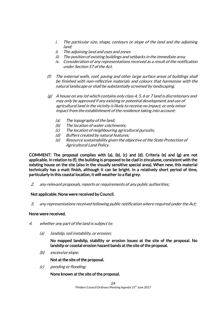- i. The particular size, shape, contours or slope of the land and the adjoining land;
- ii. The adjoining land and uses and zones
- iii. The position of existing buildings and setbacks in the immediate area;
- iv. Consideration of any representations received as a result of the notification under Section 57 of the Act.
- (f) The external walls, roof, paving and other large surface areas of buildings shall be finished with non-reflective materials and colours that harmonise with the natural landscape or shall be substantially screened by landscaping.
- $(g)$  A house on any lot which contains only class 4, 5, 6 or 7 land is discretionary and may only be approved if any existing or potential development and use of agricultural land in the vicinity is likely to receive no impact, or only minor impact from the establishment of the residence taking into account:
	- (a) The topography of the land;
	- (b) The location of water catchments;
	- (c) The location of neighbouring agricultural pursuits;
	- (d) Buffers created by natural features;
	- (e) Resource sustainability given the objective of the State Protection of Agricultural Land Policy.

COMMENT: The proposal complies with (a), (b), (c) and (d). Criteria (e) and (g) are not applicable. In relation to (f), the building is proposed to be clad in zincalume, consistent with the existing house on the site (also in the visually sensitive special area). When new, this material technically has a matt finish, although it can be bright. In a relatively short period of time, particularly in this coastal location, it will weather to a flat grey.

2. any relevant proposals, reports or requirements of any public authorities;

#### Not applicable. None were received by Council.

3. any representations received following public notification where required under the Act;

#### None were received.

- 4. whether any part of the land is subject to:
	- (a) landslip, soil instability, or erosion;

No mapped landslip, stability or erosion issues at the site of the proposal. No landslip or coastal erosion hazard bands at the site of the proposal.

(b) excessive slope;

Not at the site of the proposal.

(c) ponding or flooding;

None known at the site of the proposal.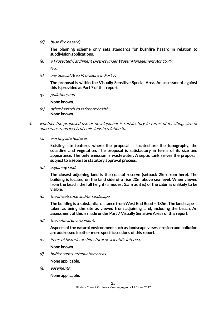(d) bush fire hazard;

The planning scheme only sets standards for bushfire hazard in relation to subdivision applications.

(e) a Protected Catchment District under Water Management Act 1999;

No.

(f) any Special Area Provisions in Part 7;

The proposal is within the Visually Sensitive Special Area. An assessment against this is provided at Part 7 of this report.

(g) pollution; and

None known.

- (h) other hazards to safety or health. None known.
- 5. whether the proposed use or development is satisfactory in terms of its siting, size or appearance and levels of emissions in relation to:
	- (a) existing site features;

Existing site features where the proposal is located are the topography, the coastline and vegetation. The proposal is satisfactory in terms of its size and appearance. The only emission is wastewater. A septic tank serves the proposal, subject to a separate statutory approval process.

(b) adjoining land;

The closest adjoining land is the coastal reserve (setback 25m from here). The building is located on the land side of a rise 20m above sea level. When viewed from the beach, the full height (a modest 3.5m as it is) of the cabin is unlikely to be visible.

(c) the streetscape and/or landscape;

The building is a substantial distance from West End Road – 185m.The landscape is taken as being the site as viewed from adjoining land, including the beach. An assessment of this is made under Part 7 Visually Sensitive Areas of this report.

(d) the natural environment;

Aspects of the natural environment such as landscape views, erosion and pollution are addressed in other more specific sections of this report.

(e) items of historic, architectural or scientific interest;

#### None known.

(f) buffer zones, attenuation areas

None applicable.

(g) easements;

None applicable.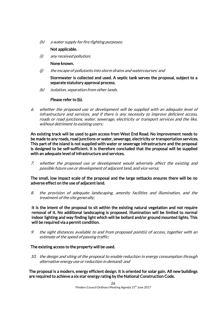(h) a water supply for fire-fighting purposes;

# Not applicable.

(i) any received pollution;

# None known.

- (j) the escape of pollutants into storm drains and watercourses: and
	- Stormwater is collected and used. A septic tank serves the proposal, subject to a separate statutory approval process.
- (k) isolation, separation from other lands.

# Please refer to (b).

6. whether the proposed use or development will be supplied with an adequate level of infrastructure and services, and if there is any necessity to improve deficient access, roads or road junctions, water, sewerage, electricity or transport services and the like, without detriment to existing users;

An existing track will be used to gain access from West End Road. No improvement needs to be made to any roads, road junctions or water, sewerage, electricity or transportation services. This part of the island is not supplied with water or sewerage infrastructure and the proposal is designed to be self-sufficient. It is therefore concluded that the proposal will be supplied with an adequate level of infrastructure and services.

7. whether the proposed use or development would adversely affect the existing and possible future use or development of adjacent land, and vice versa;

The small, low impact scale of the proposal and the large setbacks ensures there will be no adverse effect on the use of adjacent land.

8. the provision of adequate landscaping, amenity facilities and illumination, and the treatment of the site generally;

It is the intent of the proposal to sit within the existing natural vegetation and not require removal of it. No additional landscaping is proposed. Illumination will be limited to normal indoor lighting and way finding light which will be bollard and/or ground mounted lights. This will be required via a permit condition.

9. the sight distances available to and from proposed point(s) of access, together with an estimate of the speed of passing traffic;

# The existing access to the property will be used.

10. the design and siting of the proposal to enable reduction in energy consumption through alternative energy use or reduction in demand; and

The proposal is a modern, energy efficient design. It is oriented for solar gain. All new buildings are required to achieve a six star energy rating by the National Construction Code.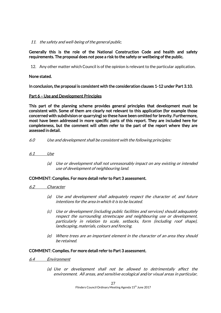# 11. the safety and well-being of the general public.

# Generally this is the role of the National Construction Code and health and safety requirements. The proposal does not pose a risk to the safety or wellbeing of the public.

12. Any other matter which Council is of the opinion is relevant to the particular application.

# None stated.

In conclusion, the proposal is consistent with the consideration clauses 1-12 under Part 3.10.

# Part 6 – Use and Development Principles

This part of the planning scheme provides general principles that development must be consistent with. Some of them are clearly not relevant to this application (for example those concerned with subdivision or quarrying) so these have been omitted for brevity. Furthermore, most have been addressed in more specific parts of this report. They are included here for completeness, but the comment will often refer to the part of the report where they are assessed in detail.

6.0 Use and development shall be consistent with the following principles:

# 6.1 Use

(a) Use or development shall not unreasonably impact on any existing or intended use of development of neighbouring land.

#### COMMENT: Complies. For more detail refer to Part 3 assessment.

- 6.2 Character
	- (a) Use and development shall adequately respect the character of, and future intentions for the area in which it is to be located.
	- (c) Use or development (including public facilities and services) should adequately respect the surrounding streetscape and neighbouring use or development, particularly in relation to scale, setbacks, form (including roof shape), landscaping, materials, colours and fencing.
	- (e) Where trees are an important element in the character of an area they should be retained.

#### COMMENT: Complies. For more detail refer to Part 3 assessment.

- 6.4 Environment
	- (a) Use or development shall not be allowed to detrimentally affect the environment. All areas, and sensitive ecological and/or visual areas in particular,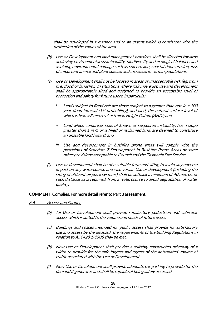shall be developed in a manner and to an extent which is consistent with the protection of the values of the area.

- (b) Use or Development and land management practices shall be directed towards achieving environmental sustainability, biodiversity and ecological balance, and avoiding environmental damage such as soil erosion, coastal dune erosion, loss of important animal and plant species and increases in vermin populations.
- (c) Use or Development shall not be located in areas of unacceptable risk (eg. from fire, flood or landslip). In situations where risk may exist, use and development shall be appropriately sited and designed to provide an acceptable level of protection and safety for future users. In particular.
	- i. Lands subject to flood risk are those subject to a greater than one in a 100 year flood interval (1% probability), and land, the natural surface level of which is below 3 metres Australian Height Datum (AHD); and
	- ii. Land which comprises soils of known or suspected instability, has a slope greater than 1 in 4, or is filled or reclaimed land, are deemed to constitute an unstable land hazard; and
	- iii. Use and development in bushfire prone areas will comply with the provisions of Schedule 7 Development in Bushfire Prone Areas or some other provisions acceptable to Council and the Tasmania Fire Service.
- (f) Use or development shall be of a suitable form and siting to avoid any adverse impact on any watercourse and vice versa. Use or development (including the siting of effluent disposal systems) shall be setback a minimum of 40 metres, or such distance as is required, from a watercourse to avoid degradation of water quality.

#### COMMENT: Complies. For more detail refer to Part 3 assessment.

#### 6.6 Access and Parking

- (b) All Use or Development shall provide satisfactory pedestrian and vehicular access which is suited to the volume and needs of future users.
- (c) Buildings and spaces intended for public access shall provide for satisfactory use and access by the disabled; the requirements of the Building Regulations in relation to AS1428.1-1988 shall be met.
- (h) New Use or Development shall provide a suitably constructed driveway of a width to provide for the safe ingress and egress of the anticipated volume of traffic associated with the Use or Development.
- (i) New Use or Development shall provide adequate car parking to provide for the demand it generates and shall be capable of being safely accessed.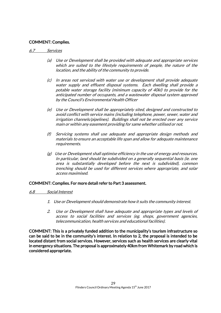# COMMENT: Complies.

#### 6.7 Services

- (a) Use or Development shall be provided with adequate and appropriate services which are suited to the lifestyle requirements of people, the nature of the location, and the ability of the community to provide.
- (c) In areas not serviced with water use or development shall provide adequate water supply and effluent disposal systems. Each dwelling shall provide a potable water storage facility (minimum capacity of 40kl) to provide for the anticipated number of occupants, and a wastewater disposal system approved by the Council's Environmental Health Officer
- (e) Use or Development shall be appropriately sited, designed and constructed to avoid conflict with service mains (including telephone, power, sewer, water and irrigation channels/pipelines). Buildings shall not be erected over any service main or within any easement providing for same whether utilised or not.
- (f) Servicing systems shall use adequate and appropriate design methods and materials to ensure an acceptable life span and allow for adequate maintenance requirements.
- $(g)$  Use or Development shall optimise efficiency in the use of energy and resources. In particular, land should be subdivided on a generally sequential basis (ie. one area is substantially developed before the next is subdivided), common trenching should be used for different services where appropriate, and solar access maximised.

#### COMMENT: Complies. For more detail refer to Part 3 assessment.

- 6.8 Social Interest
	- 1. Use or Development should demonstrate how it suits the community interest.
	- 2. Use or Development shall have adequate and appropriate types and levels of access to social facilities and services (eg. shops, government agencies, telecommunication, health services and educational facilities).

COMMENT: This is a privately funded addition to the municipality's tourism infrastructure so can be said to be in the community's interest. In relation to 2, the proposal is intended to be located distant from social services. However, services such as health services are clearly vital in emergency situations. The proposal is approximately 40km from Whitemark by road which is considered appropriate.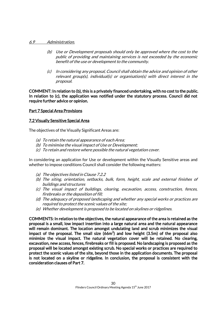#### 6.9 Administration.

- (b) Use or Development proposals should only be approved where the cost to the public of providing and maintaining services is not exceeded by the economic benefit of the use or development to the community.
- (c) In considering any proposal, Council shall obtain the advice and opinion of other relevant group(s), individual(s) or organisation(s) with direct interest in the proposal.

COMMENT: In relation to (b), this is a privately financed undertaking, with no cost to the public. In relation to (c), the application was notified under the statutory process. Council did not require further advice or opinion.

# Part 7 Special Area Provisions

# 7.2 Visually Sensitive Special Area

The objectives of the Visually Significant Areas are:

- (a) To retain the natural appearance of each Area;
- (b) To minimise the visual impact of Use or Development;
- (c) To retain and restore where possible the natural vegetation cover.

In considering an application for Use or development within the Visually Sensitive areas and whether to impose conditions Council shall consider the following matters:

- (a) The objectives listed in Clause 7.2.2
- (b) The siting, orientation, setbacks, bulk, form, height, scale and external finishes of buildings and structures
- (c) The visual impact of buildings, clearing, excavation, access, construction, fences, firebreaks or the deposition of fill;
- (d) The adequacy of proposed landscaping and whether any special works or practices are required to protect the scenic values of the site;
- (e) Whether development is proposed to be located on skylines or ridgelines.

COMMENTS: In relation to the objectives, the natural appearance of the area is retained as the proposal is a small, low impact insertion into a large natural area and the natural appearance will remain dominant. The location amongst undulating land and scrub minimizes the visual impact of the proposal. The small size (66m<sup>2</sup>) and low height (3.5m) of the proposal also minimize the visual impact. The natural vegetation cover will be retained. No clearing, excavation, new access, fences, firebreaks or fill is proposed. No landscaping is proposed as the proposal will be located amongst existing scrub. No special works or practices are required to protect the scenic values of the site, beyond those in the application documents. The proposal is not located on a skyline or ridgeline. In conclusion, the proposal is consistent with the consideration clauses of Part 7.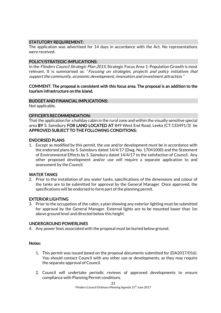# STATUTORY REQUIREMENT:

The application was advertised for 14 days in accordance with the Act. No representations were received.

# POLICY/STRATEGIC IMPLICATIONS:

In the *Flinders Council Strategic Plan 2015*, Strategic Focus Area 1: Population Growth is most relevant. It is summarised as: "Focusing on strategies, projects and policy initiatives that support the community, economic development, innovation and investment attraction."

#### COMMENT: The proposal is consistent with this focus area. The proposal is an addition to the tourism infrastructure on the island.

#### BUDGET AND FINANCIAL IMPLICATIONS:

Not applicable.

#### OFFICER'S RECOMMENDATION:

That the application for a holiday cabin in the rural zone and within the visually sensitive special area BY S. Sainsbury FOR LAND LOCATED AT 849 West End Road, Leeka (CT:133491/3) be APPROVED SUBJECT TO THE FOLLOWING CONDITIONS:

#### ENDORSED PLANS

1. Except as modified by this permit, the use and/or development must be in accordance with the endorsed plans by S. Sainsbury dated 14/4/17 (Dwg. No. 17041000) and the Statement of Environmental Effects by S. Sainsbury dated 14/4/17 to the satisfaction of Council. Any other proposed development and/or use will require a separate application to and assessment by the Council.

#### WATER TANKS

2. Prior to the installation of any water tanks, specifications of the dimensions and colour of the tanks are to be submitted for approval by the General Manager. Once approved, the specifications will be endorsed to form part of the planning permit.

#### EXTERIOR LIGHTING

3. Prior to the occupation of the cabin, a plan showing any exterior lighting must be submitted for approval by the General Manager. External lights are to be mounted lower than 1m above ground level and directed below this height.

#### UNDERGROUND POWERLINES

4. Any power lines associated with the proposal must be buried below ground.

#### Notes:

- 1. This permit was issued based on the proposal documents submitted for (DA2017/016). You should contact Council with any other use or developments, as they may require the separate approval of Council.
- 2. Council will undertake periodic reviews of approved developments to ensure compliance with Planning Permit conditions.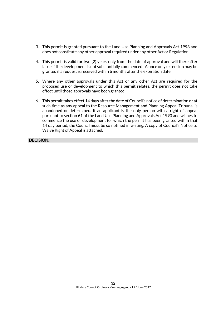- 3. This permit is granted pursuant to the Land Use Planning and Approvals Act 1993 and does not constitute any other approval required under any other Act or Regulation.
- 4. This permit is valid for two (2) years only from the date of approval and will thereafter lapse if the development is not substantially commenced. A once only extension may be granted if a request is received within 6 months after the expiration date.
- 5. Where any other approvals under this Act or any other Act are required for the proposed use or development to which this permit relates, the permit does not take effect until those approvals have been granted.
- 6. This permit takes effect 14 days after the date of Council's notice of determination or at such time as any appeal to the Resource Management and Planning Appeal Tribunal is abandoned or determined. If an applicant is the only person with a right of appeal pursuant to section 61 of the Land Use Planning and Approvals Act 1993 and wishes to commence the use or development for which the permit has been granted within that 14 day period, the Council must be so notified in writing. A copy of Council's Notice to Waive Right of Appeal is attached.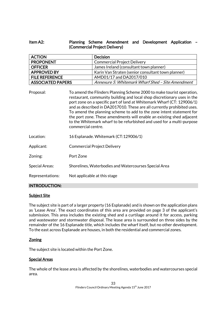# Item A2: Planning Scheme Amendment and Development Application – (Commercial Project Delivery)

| <b>ACTION</b>                                                                                                                                                                                                                                                                                                                                                                              |  | <b>Decision</b>                                    |
|--------------------------------------------------------------------------------------------------------------------------------------------------------------------------------------------------------------------------------------------------------------------------------------------------------------------------------------------------------------------------------------------|--|----------------------------------------------------|
| <b>PROPONENT</b>                                                                                                                                                                                                                                                                                                                                                                           |  | <b>Commercial Project Delivery</b>                 |
| <b>OFFICER</b>                                                                                                                                                                                                                                                                                                                                                                             |  | James Ireland (consultant town planner)            |
| <b>APPROVED BY</b>                                                                                                                                                                                                                                                                                                                                                                         |  | Karin Van Straten (senior consultant town planner) |
| <b>FILE REFERENCE</b>                                                                                                                                                                                                                                                                                                                                                                      |  | AMD01/17 and DA2017/010                            |
| <b>ASSOCIATED PAPERS</b>                                                                                                                                                                                                                                                                                                                                                                   |  | Annexure 5: Whitemark Wharf Shed - Site Amendment  |
| To amend the Flinders Planning Scheme 2000 to make tourist operation,<br>Proposal:<br>restaurant, community building and local shop discretionary uses in the<br>port zone on a specific part of land at Whitemark Wharf (CT: 129006/1)<br>and as described in DA2017010. These are all currently prohibited uses.<br>To amend the planning scheme to add to the zone intent statement for |  |                                                    |

- the port zone. These amendments will enable an existing shed adjacent to the Whitemark wharf to be refurbished and used for a multi-purpose commercial centre.
- Location: 16 Esplanade. Whitemark (CT:129006/1)
- Applicant: Commercial Project Delivery
- Zoning: Port Zone
- Special Areas: Shorelines, Waterbodies and Watercourses Special Area
- Representations: Not applicable at this stage

# INTRODUCTION:

#### **Subject Site**

The subject site is part of a larger property (16 Esplanade) and is shown on the application plans as 'Lease Area'. The exact coordinates of this area are provided on page 3 of the applicant's submission. This area includes the existing shed and a curtilage around it for access, parking and wastewater and stormwater disposal. The lease area is surrounded on three sides by the remainder of the 16 Esplanade title, which includes the wharf itself, but no other development. To the east across Esplanade are houses, in both the residential and commercial zones.

#### Zoning

The subject site is located within the Port Zone.

#### Special Areas

The whole of the lease area is affected by the shorelines, waterbodies and watercourses special area.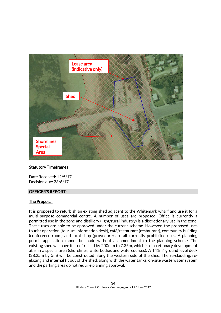

#### Statutory Timeframes

Date Received: 12/5/17 Decision due: 23/6/17

#### OFFICER'S REPORT:

# The Proposal

It is proposed to refurbish an existing shed adjacent to the Whitemark wharf and use it for a multi-purpose commercial centre. A number of uses are proposed. Office is currently a permitted use in the zone and distillery (light/rural industry) is a discretionary use in the zone. These uses are able to be approved under the current scheme. However, the proposed uses tourist operation (tourism information desk), café/restaurant (restaurant), community building (conference room) and local shop (provedore) are all currently prohibited uses. A planning permit application cannot be made without an amendment to the planning scheme. The existing shed will have its roof raised by 200mm to 7.35m, which is discretionary development at is in a special area (shorelines, waterbodies and watercourses). A  $141\mathrm{m}^2$  ground level deck (28.25m by 5m) will be constructed along the western side of the shed. The re-cladding, reglazing and internal fit out of the shed, along with the water tanks, on-site waste water system and the parking area do not require planning approval.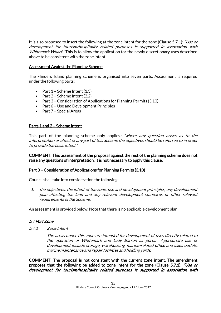It is also proposed to insert the following at the zone intent for the zone (Clause 5.7.1): "Use or development for tourism/hospitality related purposes is supported in association with Whitemark Wharf. "This is to allow the application for the newly discretionary uses described above to be consistent with the zone intent.

# Assessment Against the Planning Scheme

The Flinders Island planning scheme is organised into seven parts. Assessment is required under the following parts:

- Part  $1$  Scheme Intent  $(1.3)$
- $\bullet$  Part 2 Scheme Intent (2.2)
- Part 3 Consideration of Applications for Planning Permits (3.10)
- Part 6 Use and Development Principles
- Part 7 Special Areas

# Parts 1 and 2 – Scheme Intent

This part of the planning scheme only applies: "where any question arises as to the interpretation or effect of any part of this Scheme the objectives should be referred to in order to provide the basic intent."

COMMENT: This assessment of the proposal against the rest of the planning scheme does not raise any questions of interpretation. It is not necessary to apply this clause.

#### Part 3 – Consideration of Applications for Planning Permits (3.10)

Council shall take into consideration the following:

1. the objectives, the intent of the zone, use and development principles, any development plan affecting the land and any relevant development standards or other relevant requirements of the Scheme;

An assessment is provided below. Note that there is no applicable development plan:

# 5.7 Port Zone

5.7.1 Zone Intent

The areas under this zone are intended for development of uses directly related to the operation of Whitemark and Lady Barron as ports. Appropriate use or development include storage, warehousing, marine-related office and sales outlets, marine maintenance and repair facilities and holding yards.

COMMENT: The proposal is not consistent with the current zone intent. The amendment proposes that the following be added to zone intent for the zone (Clause 5.7.1): "Use or development for tourism/hospitality related purposes is supported in association with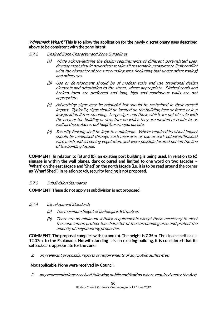Whitemark Wharf. "This is to allow the application for the newly discretionary uses described above to be consistent with the zone intent.

- 5.7.2 Desired Zone Character and Zone Guidelines
	- (a) While acknowledging the design requirements of different port-related uses, development should nevertheless take all reasonable measures to limit conflict with the character of the surrounding area (including that under other zoning) and other uses.
	- (b) Use or development should be of modest scale and use traditional design elements and orientation to the street, where appropriate. Pitched roofs and broken form are preferred and long, high and continuous walls are not appropriate.
	- (c) Advertising signs may be colourful but should be restrained in their overall impact. Typically, signs should be located on the building face or fence or in a low position if free standing. Large signs and those which are out of scale with the area or the building or structure on which they are located or relate to, as well as those above roof height, are inappropriate.
	- (d) Security fencing shall be kept to a minimum. Where required its visual impact should be minimised through such measures as use of dark coloured/finished wire mesh and screening vegetation, and were possible located behind the line of the building facade.

COMMENT: In relation to (a) and (b), an existing port building is being used. In relation to (c) signage is within the wall planes, dark coloured and limited to one word on two façades – 'Wharf' on the east façade and 'Shed' on the north façade (i.e. it is to be read around the corner as 'Wharf Shed'.) In relation to (d), security fencing is not proposed.

#### 5.7.3 Subdivision Standards

COMMENT: These do not apply as subdivision is not proposed.

- 5.7.4 Development Standards
	- (a) The maximum height of buildings is 8.0 metres.
	- (b) There are no minimum setback requirements except those necessary to meet the zone intent, protect the character of the surrounding area and protect the amenity of neighbouring properties.

COMMENT: The proposal complies with (a) and (b). The height is 7.35m. The closest setback is 12.07m, to the Esplanade. Notwithstanding it is an existing building, it is considered that its setbacks are appropriate for the zone.

2. any relevant proposals, reports or requirements of any public authorities;

#### Not applicable. None were received by Council.

3. any representations received following public notification where required under the Act;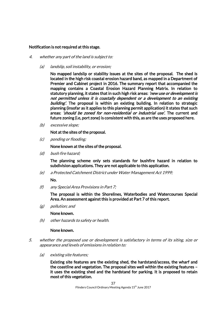#### Notification is not required at this stage.

- 4. whether any part of the land is subject to:
	- (a) landslip, soil instability, or erosion;

No mapped landslip or stability issues at the sites of the proposal. The shed is located in the high risk coastal erosion hazard band, as mapped in a Department of Premier and Cabinet project in 2016. The summary report that accompanied the mapping contains a Coastal Erosion Hazard Planning Matrix. In relation to statutory planning, it states that in such high risk areas: 'new use or development is not permitted unless it is coastally dependent or a development to an existing building'. The proposal is within an existing building. In relation to strategic planning (insofar as it applies to this planning permit application) it states that such areas: 'should be zoned for non-residential or industrial use'. The current and future zoning (i.e, port zone) is consistent with this, as are the uses proposed here.

(b) excessive slope;

Not at the sites of the proposal.

(c) ponding or flooding;

None known at the sites of the proposal.

(d) bush fire hazard;

The planning scheme only sets standards for bushfire hazard in relation to subdivision applications. They are not applicable to this application.

(e) a Protected Catchment District under Water Management Act 1999;

No.

(f) any Special Area Provisions in Part 7;

The proposal is within the Shorelines, Waterbodies and Watercourses Special Area. An assessment against this is provided at Part 7 of this report.

(g) pollution; and

None known.

(h) other hazards to safety or health.

#### None known.

- 5. whether the proposed use or development is satisfactory in terms of its siting, size or appearance and levels of emissions in relation to:
	- (a) existing site features;

Existing site features are the existing shed, the hardstand/access, the wharf and the coastline and vegetation. The proposal sites well within the existing features – it uses the existing shed and the hardstand for parking. It is proposed to retain most of this vegetation.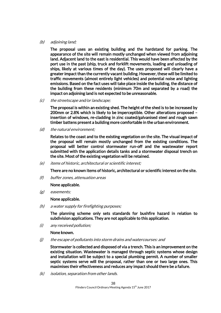#### (b) adjoining land;

The proposal uses an existing building and the hardstand for parking. The appearance of the site will remain mostly unchanged when viewed from adjoining land. Adjacent land to the east is residential. This would have been affected by the port use in the past (ship, truck and forklift movements, loading and unloading of ships, likely at various times of the day). The uses proposed will clearly have a greater impact than the currently vacant building. However, these will be limited to traffic movements (almost entirely light vehicles) and potential noise and lighting emissions. Based on the fact uses will take place inside the building, the distance of the building from these residents (minimum 70m and separated by a road) the impact on adjoining land is not expected to be unreasonable.

(c) the streetscape and/or landscape;

The proposal is within an existing shed. The height of the shed is to be increased by 200mm or 2.8% which is likely to be imperceptible. Other alterations proposed – insertion of windows, re-cladding in zinc coated/galvanised steel and rough sawn timber battens present a building more comfortable in the urban environment.

(d) the natural environment;

Relates to the coast and to the existing vegetation on the site. The visual impact of the proposal will remain mostly unchanged from the existing conditions. The proposal will better control stormwater run-off and the wastewater report submitted with the application details tanks and a stormwater disposal trench on the site. Most of the existing vegetation will be retained.

(e) items of historic, architectural or scientific interest;

There are no known items of historic, architectural or scientific interest on the site.

(f) buffer zones, attenuation areas

#### None applicable.

(g) easements;

#### None applicable.

(h) a water supply for firefighting purposes;

The planning scheme only sets standards for bushfire hazard in relation to subdivision applications. They are not applicable to this application.

(i) any received pollution;

#### None known.

(j) the escape of pollutants into storm drains and watercourses: and

Stormwater is collected and disposed of via a trench. This is an improvement on the existing situation. Wastewater is managed through septic systems whose design and installation will be subject to a special plumbing permit. A number of smaller septic systems serve will the proposal, rather than one or two large ones. This maximises their effectiveness and reduces any impact should there be a failure.

(k) isolation, separation from other lands.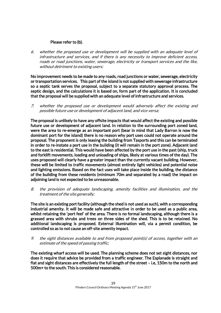# Please refer to (b).

6. whether the proposed use or development will be supplied with an adequate level of infrastructure and services, and if there is any necessity to improve deficient access, roads or road junctions, water, sewerage, electricity or transport services and the like, without detriment to existing users;

No improvement needs to be made to any roads, road junctions or water, sewerage, electricity or transportation services. This part of the island is not supplied with sewerage infrastructure so a septic tank serves the proposal, subject to a separate statutory approval process. The septic design, and the calculations it is based on, form part of the application. It is concluded that the proposal will be supplied with an adequate level of infrastructure and services.

7. whether the proposed use or development would adversely affect the existing and possible future use or development of adjacent land, and vice versa;

The proposal is unlikely to have any offsite impacts that would affect the existing and possible future use or development of adjacent land. In relation to the surrounding port zoned land, were the area to re-emerge as an important port (bear in mind that Lady Barron is now the dominant port for the island) there is no reason why port uses could not operate around the proposal. The proponent is only leasing the building from Tasports and this can be terminated in order to re-instate a port use in the building (it will remain in the port zone). Adjacent land to the east is residential. This would have been affected by the port use in the past (ship, truck and forklift movements, loading and unloading of ships, likely at various times of the day). The uses proposed will clearly have a greater impact than the currently vacant building. However, these will be limited to traffic movements (almost entirely light vehicles) and potential noise and lighting emissions. Based on the fact uses will take place inside the building, the distance of the building from these residents (minimum 70m and separated by a road) the impact on adjoining land is not expected to be unreasonable.

8. the provision of adequate landscaping, amenity facilities and illumination, and the treatment of the site generally;

The site is an existing port facility (although the shed is not used as such), with a corresponding industrial amenity. It will be made safe and attractive in order to be used as a public area, whilst retaining the 'port feel' of the area. There is no formal landscaping, although there is a grassed area with shrubs and trees on three sides of the shed. This is to be retained. No additional landscaping is proposed. External illumination will, via a permit condition, be controlled so as to not cause an off-site amenity impact.

9. the sight distances available to and from proposed point(s) of access, together with an estimate of the speed of passing traffic;

The existing wharf access will be used. The planning scheme does not set sight distances, nor does it require that advice be provided from a traffic engineer. The Esplanade is straight and flat and sight distances are effectively the full length of the street – i.e, 150m to the north and 500m+ to the south. This is considered reasonable.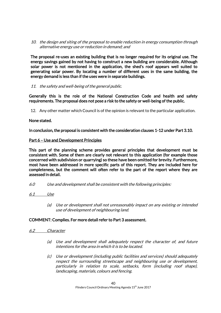10. the design and siting of the proposal to enable reduction in energy consumption through alternative energy use or reduction in demand; and

The proposal re-uses an existing building that is no longer required for its original use. The energy savings gained by not having to construct a new building are considerable. Although solar power is not mentioned in the application, the shed's roof appears well suited to generating solar power. By locating a number of different uses in the same building, the energy demand is less than if the uses were in separate buildings.

#### 11. the safety and well-being of the general public.

Generally this is the role of the National Construction Code and health and safety requirements. The proposal does not pose a risk to the safety or well-being of the public.

12. Any other matter which Council is of the opinion is relevant to the particular application.

# None stated.

In conclusion, the proposal is consistent with the consideration clauses 1-12 under Part 3.10.

# Part 6 – Use and Development Principles

This part of the planning scheme provides general principles that development must be consistent with. Some of them are clearly not relevant to this application (for example those concerned with subdivision or quarrying) so these have been omitted for brevity. Furthermore, most have been addressed in more specific parts of this report. They are included here for completeness, but the comment will often refer to the part of the report where they are assessed in detail.

- 6.0 Use and development shall be consistent with the following principles:
- 6.1 Use
	- (a) Use or development shall not unreasonably impact on any existing or intended use of development of neighbouring land.

# COMMENT: Complies. For more detail refer to Part 3 assessment.

- 6.2 Character
	- (a) Use and development shall adequately respect the character of, and future intentions for the area in which it is to be located.
	- (c) Use or development (including public facilities and services) should adequately respect the surrounding streetscape and neighbouring use or development, particularly in relation to scale, setbacks, form (including roof shape), landscaping, materials, colours and fencing.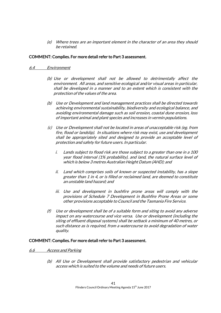(e) Where trees are an important element in the character of an area they should be retained.

# COMMENT: Complies. For more detail refer to Part 3 assessment.

#### 6.4 Environment

- (b) Use or development shall not be allowed to detrimentally affect the environment. All areas, and sensitive ecological and/or visual areas in particular, shall be developed in a manner and to an extent which is consistent with the protection of the values of the area.
- (b) Use or Development and land management practices shall be directed towards achieving environmental sustainability, biodiversity and ecological balance, and avoiding environmental damage such as soil erosion, coastal dune erosion, loss of important animal and plant species and increases in vermin populations.
- (c) Use or Development shall not be located in areas of unacceptable risk (eg. from fire, flood or landslip). In situations where risk may exist, use and development shall be appropriately sited and designed to provide an acceptable level of protection and safety for future users. In particular.
	- i. Lands subject to flood risk are those subject to a greater than one in a 100 year flood interval (1% probability), and land, the natural surface level of which is below 3 metres Australian Height Datum (AHD); and
	- ii. Land which comprises soils of known or suspected instability, has a slope greater than 1 in 4, or is filled or reclaimed land, are deemed to constitute an unstable land hazard; and
	- iii. Use and development in bushfire prone areas will comply with the provisions of Schedule 7 Development in Bushfire Prone Areas or some other provisions acceptable to Council and the Tasmania Fire Service.
- (f) Use or development shall be of a suitable form and siting to avoid any adverse impact on any watercourse and vice versa. Use or development (including the siting of effluent disposal systems) shall be setback a minimum of 40 metres, or such distance as is required, from a watercourse to avoid degradation of water quality.

#### COMMENT: Complies. For more detail refer to Part 3 assessment.

#### 6.6 Access and Parking

(b) All Use or Development shall provide satisfactory pedestrian and vehicular access which is suited to the volume and needs of future users.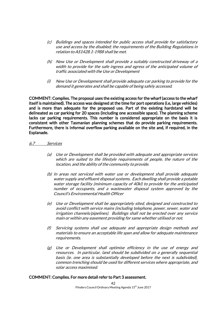- (c) Buildings and spaces intended for public access shall provide for satisfactory use and access by the disabled; the requirements of the Building Regulations in relation to AS1428.1-1988 shall be met.
- (h) New Use or Development shall provide a suitably constructed driveway of a width to provide for the safe ingress and egress of the anticipated volume of traffic associated with the Use or Development
- (i) New Use or Development shall provide adequate car parking to provide for the demand it generates and shall be capable of being safely accessed.

COMMENT: Complies. The proposal uses the existing access for the wharf (access to the wharf itself is maintained). The access was designed at the time for port operations (i.e, large vehicles) and is more than adequate for the proposed use. Part of the existing hardstand will be delineated as car parking for 20 spaces (including one accessible space). The planning scheme lacks car parking requirements. This number is considered appropriate on the basis it is consistent with other Tasmanian planning schemes that do provide parking requirements. Furthermore, there is informal overflow parking available on the site and, if required, in the Esplanade.

#### 6.7 Services

- (a) Use or Development shall be provided with adequate and appropriate services which are suited to the lifestyle requirements of people, the nature of the location, and the ability of the community to provide.
- (b) In areas not serviced with water use or development shall provide adequate water supply and effluent disposal systems. Each dwelling shall provide a potable water storage facility (minimum capacity of 40kl) to provide for the anticipated number of occupants, and a wastewater disposal system approved by the Council's Environmental Health Officer
- (e) Use or Development shall be appropriately sited, designed and constructed to avoid conflict with service mains (including telephone, power, sewer, water and irrigation channels/pipelines). Buildings shall not be erected over any service main or within any easement providing for same whether utilised or not.
- (f) Servicing systems shall use adequate and appropriate design methods and materials to ensure an acceptable life span and allow for adequate maintenance requirements.
- (g) Use or Development shall optimise efficiency in the use of energy and resources. In particular, land should be subdivided on a generally sequential basis (ie. one area is substantially developed before the next is subdivided), common trenching should be used for different services where appropriate, and solar access maximised.

#### COMMENT: Complies. For more detail refer to Part 3 assessment.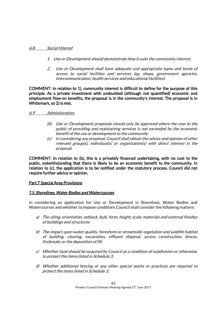#### 6.8 Social Interest

- 1. Use or Development should demonstrate how it suits the community interest.
- 2. Use or Development shall have adequate and appropriate types and levels of access to social facilities and services (eg. shops, government agencies, telecommunication, health services and educational facilities).

COMMENT: In relation to 1), community interest is difficult to define for the purpose of this principle. As a private investment with undoubted (although not quantified) economic and employment flow-on benefits, the proposal is in the community's interest. The proposal is in Whitemark, so 2) is met.

# 6.9 Administration.

- (b) Use or Development proposals should only be approved where the cost to the public of providing and maintaining services is not exceeded by the economic benefit of the use or development to the community.
- (c) In considering any proposal, Council shall obtain the advice and opinion of other relevant group(s), individual(s) or organisation(s) with direct interest in the proposal.

COMMENT: In relation to (b), this is a privately financed undertaking, with no cost to the public, notwithstanding that there is likely to be an economic benefit to the community. In relation to (c), the application is to be notified under the statutory process. Council did not require further advice or opinion.

# Part 7 Special Area Provisions

# 7.5 Shorelines, Water Bodies and Watercourses

In considering an application for Use or Development in Shorelines, Water Bodies and Watercourses and whether to impose conditions Council shall consider the following matters:

- a) The siting, orientation, setback, bulk, form, height, scale, materials and external finishes of buildings and structures
- b) The impact upon water quality, foreshore or streamside vegetation and wildlife habitat of building, clearing, excavation, effluent disposal, access construction, fences, firebreaks or the deposition of fill;
- c) Whether land should be acquired by Council as a condition of subdivision or otherwise, to protect the items listed in Schedule 3;
- d) Whether additional fencing or any other special works or practices are required to protect the items listed in Schedule 3;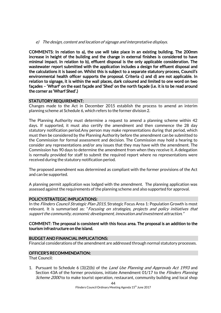e) The design, content and location of signage and interpretative displays.

COMMENTS: In relation to a), the use will take place in an existing building. The 200mm increase in height of the building and the change in external finishes is considered to have minimal impact. In relation to b), effluent disposal is the only applicable consideration. The wastewater report submitted with the application includes a design for effluent disposal and the calculations it is based on. Whilst this is subject to a separate statutory process, Council's environmental health officer supports the proposal. Criteria c) and d) are not applicable. In relation to signage, it is within the wall places, dark coloured and limited to one word on two façades – 'Wharf' on the east façade and 'Shed' on the north façade (i.e. it is to be read around the corner as 'Wharf Shed'.)

#### STATUTORY REQUIREMENT:

Changes made to the Act in December 2015 establish the process to amend an interim planning scheme at Schedule 6, which refers to the former division 2.

The Planning Authority must determine a request to amend a planning scheme within 42 days. If supported, it must also certify the amendment and then commence the 28 day statutory notification period.Any person may make representations during that period, which must then be considered by the Planning Authority before the amendment can be submitted to the Commission for formal assessment and decision. The Commission may hold a hearing to consider any representations and/or any issues that they may have with the amendment. The Commission has 90 days to determine the amendment from when they receive it. A delegation is normally provided for staff to submit the required report where no representations were received during the statutory notification period.

The proposed amendment was determined as compliant with the former provisions of the Act and can be supported.

A planning permit application was lodged with the amendment. The planning application was assessed against the requirements of the planning scheme and also supported for approval.

#### POLICY/STRATEGIC IMPLICATIONS:

In the Flinders Council Strategic Plan 2015, Strategic Focus Area 1: Population Growth is most relevant. It is summarised as: "Focusing on strategies, projects and policy initiatives that support the community, economic development, innovation and investment attraction."

#### COMMENT: The proposal is consistent with this focus area. The proposal is an addition to the tourism infrastructure on the island.

#### BUDGET AND FINANCIAL IMPLICATIONS:

Financial considerations of the amendment are addressed through normal statutory processes.

#### OFFICER'S RECOMMENDATION:

That Council:

1. Pursuant to Schedule 6 (3)(2)(b) of the *Land Use Planning and Approvals Act 1993* and Section 43A of the former provisions, initiate Amendment 01/17 to the *Flinders Planning* Scheme 2000 to to make tourist operation, restaurant, community building and local shop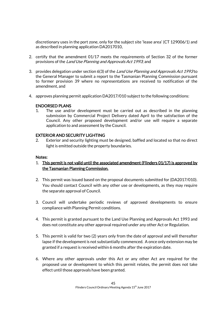discretionary uses in the port zone, only for the subject site 'lease area' (CT 129006/1) and as described in planning application DA2017010,

- 2. certify that the amendment 01/17 meets the requirements of Section 32 of the former provisions of the Land Use Planning and Approvals Act 1993; and
- 3. provides delegation under section 6(3) of the Land Use Planning and Approvals Act 1993 to the General Manager to submit a report to the Tasmanian Planning Commission pursuant to former provision 39 where no representations are received to notification of the amendment, and
- 4. approves planning permit application DA2017/010 subject to the following conditions:

# ENDORSED PLANS

1. The use and/or development must be carried out as described in the planning submission by Commercial Project Delivery dated April to the satisfaction of the Council. Any other proposed development and/or use will require a separate application to and assessment by the Council.

# EXTERIOR AND SECURITY LIGHTING

2. Exterior and security lighting must be designed, baffled and located so that no direct light is emitted outside the property boundaries.

#### Notes:

- 1. This permit is not valid until the associated amendment (Flinders 01/17) is approved by the Tasmanian Planning Commission.
- 2. This permit was issued based on the proposal documents submitted for (DA2017/010). You should contact Council with any other use or developments, as they may require the separate approval of Council.
- 3. Council will undertake periodic reviews of approved developments to ensure compliance with Planning Permit conditions.
- 4. This permit is granted pursuant to the Land Use Planning and Approvals Act 1993 and does not constitute any other approval required under any other Act or Regulation.
- 5. This permit is valid for two (2) years only from the date of approval and will thereafter lapse if the development is not substantially commenced. A once only extension may be granted if a request is received within 6 months after the expiration date.
- 6. Where any other approvals under this Act or any other Act are required for the proposed use or development to which this permit relates, the permit does not take effect until those approvals have been granted.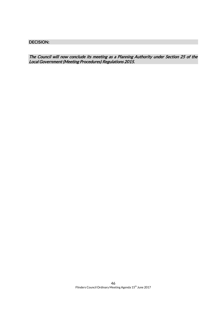DECISION:

The Council will now conclude its meeting as a Planning Authority under Section 25 of the Local Government (Meeting Procedures) Regulations 2015.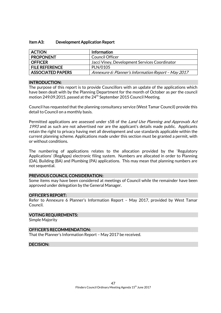#### Item A3: Development Application Report

| <b>ACTION</b>            | Information                                         |
|--------------------------|-----------------------------------------------------|
| <b>PROPONENT</b>         | Council Officer                                     |
| <b>OFFICER</b>           | Jacci Viney, Development Services Coordinator       |
| <b>FILE REFERENCE</b>    | PLN/0105                                            |
| <b>ASSOCIATED PAPERS</b> | Annexure 6: Planner's Information Report - May 2017 |

#### INTRODUCTION:

The purpose of this report is to provide Councillors with an update of the applications which have been dealt with by the Planning Department for the month of October as per the council motion 249.09.2015, passed at the  $24^{th}$  September 2015 Council Meeting.

Council has requested that the planning consultancy service (West Tamar Council) provide this detail to Council on a monthly basis.

Permitted applications are assessed under s58 of the *Land Use Planning and Approvals Act* 1993 and as such are not advertised nor are the applicant's details made public. Applicants retain the right to privacy having met all development and use standards applicable within the current planning scheme. Applications made under this section must be granted a permit, with or without conditions.

The numbering of applications relates to the allocation provided by the 'Regulatory Applications' (RegApps) electronic filing system. Numbers are allocated in order to Planning (DA), Building (BA) and Plumbing (PA) applications. This may mean that planning numbers are not sequential.

#### PREVIOUS COUNCIL CONSIDERATION:

Some items may have been considered at meetings of Council while the remainder have been approved under delegation by the General Manager.

#### OFFICER'S REPORT:

Refer to Annexure 6 Planner's Information Report – May 2017, provided by West Tamar Council.

#### VOTING REQUIREMENTS:

Simple Majority

#### OFFICER'S RECOMMENDATION:

That the Planner's Information Report – May 2017 be received.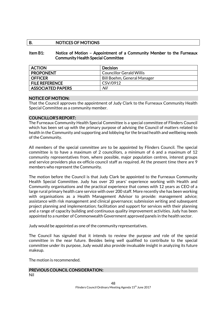# B. NOTICES OF MOTIONS

#### Item B1: Notice of Motion – Appointment of a Community Member to the Furneaux Community Health Special Committee

| <b>ACTION</b>            | Decision                        |
|--------------------------|---------------------------------|
| <b>PROPONENT</b>         | <b>Councillor Gerald Willis</b> |
| <b>OFFICER</b>           | Bill Boehm, General Manager     |
| <b>FILE REFERENCE</b>    | CSV/0912                        |
| <b>ASSOCIATED PAPERS</b> | Nil                             |

#### NOTICE OF MOTION:

That the Council approves the appointment of Judy Clark to the Furneaux Community Health Special Committee as a community member.

#### COUNCILLOR'S REPORT:

The Furneaux Community Health Special Committee is a special committee of Flinders Council which has been set up with the primary purpose of advising the Council of matters related to health in the Community and supporting and lobbying for the broad health and wellbeing needs of the Community.

All members of the special committee are to be appointed by Flinders Council. The special committee is to have a maximum of 2 councillors, a minimum of 6 and a maximum of 12 community representatives from, where possible, major population centres, interest groups and service providers plus ex-officio council staff as required. At the present time there are 9 members who represent the Community.

The motion before the Council is that Judy Clark be appointed to the Furneaux Community Health Special Committee. Judy has over 20 years' experience working with Health and Community organisations and the practical experience that comes with 12 years as CEO of a large rural primary health care service with over 200 staff. More recently she has been working with organisations as a Health Management Advisor to provide: management advice; assistance with risk management and clinical governance; submission writing and subsequent project planning and implementation; facilitation and support for services with their planning and a range of capacity building and continuous quality improvement activities. Judy has been appointed to a number of Commonwealth Government approved panels in the health sector.

Judy would be appointed as one of the community representatives.

The Council has signaled that it intends to review the purpose and role of the special committee in the near future. Besides being well qualified to contribute to the special committee under its purpose, Judy would also provide invaluable insight in analyzing its future makeup.

The motion is recommended.

#### PREVIOUS COUNCIL CONSIDERATION: Nil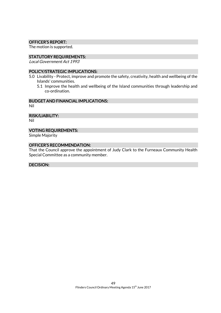#### OFFICER'S REPORT:

The motion is supported.

#### STATUTORY REQUIREMENTS:

Local Government Act 1993

# POLICY/STRATEGIC IMPLICATIONS:

- 5.0 Livability Protect, improve and promote the safety, creativity, health and wellbeing of the Islands' communities.
	- 5.1 Improve the health and wellbeing of the Island communities through leadership and co-ordination.

# BUDGET AND FINANCIAL IMPLICATIONS:

Nil

RISK/LIABILITY:

Nil

#### VOTING REQUIREMENTS:

Simple Majority

# OFFICER'S RECOMMENDATION:

That the Council approve the appointment of Judy Clark to the Furneaux Community Health Special Committee as a community member.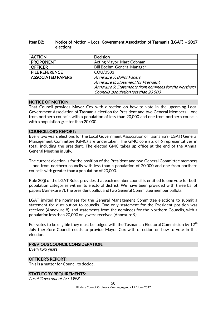# Item B2: Notice of Motion – Local Government Association of Tasmania (LGAT) – 2017 elections

| <b>ACTION</b>            | <b>Decision</b>                                       |
|--------------------------|-------------------------------------------------------|
| <b>PROPONENT</b>         | Acting Mayor, Marc Cobham                             |
| <b>OFFICER</b>           | <b>Bill Boehm, General Manager</b>                    |
| <b>FILE REFERENCE</b>    | COU/0303                                              |
| <b>ASSOCIATED PAPERS</b> | Annexure 7: Ballot Papers                             |
|                          | Annexure 8: Statement for President                   |
|                          | Annexure 9: Statements from nominees for the Northern |
|                          | Councils, population less than 20,000                 |

# NOTICE OF MOTION:

That Council provides Mayor Cox with direction on how to vote in the upcoming Local Government Association of Tasmania election for President and two General Members – one from northern councils with a population of less than 20,000 and one from northern councils with a population greater than 20,000.

# COUNCILLOR'S REPORT:

Every two years elections for the Local Government Association of Tasmania's (LGAT) General Management Committee (GMC) are undertaken. The GMC consists of 6 representatives in total, including the president. The elected GMC takes up office at the end of the Annual General Meeting in July.

The current election is for the position of the President and two General Committee members – one from northern councils with less than a population of 20,000 and one from northern councils with greater than a population of 20,000.

Rule 20(j) of the LGAT Rules provides that each member council is entitled to one vote for both population categories within its electoral district. We have been provided with three ballot papers (Annexure 7): the president ballot and two General Committee member ballots.

LGAT invited the nominees for the General Management Committee elections to submit a statement for distribution to councils. One only statement for the President position was received (Annexure 8), and statements from the nominees for the Northern Councils, with a population less than 20,000 only were received (Annexure 9).

For votes to be eligible they must be lodged with the Tasmanian Electoral Commission by  $12<sup>th</sup>$ July therefore Council needs to provide Mayor Cox with direction on how to vote in this election.

#### PREVIOUS COUNCIL CONSIDERATION:

Every two years.

# OFFICER'S REPORT:

This is a matter for Council to decide.

#### STATUTORY REQUIREMENTS:

Local Government Act 1993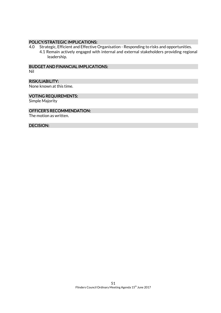#### POLICY/STRATEGIC IMPLICATIONS:

4.0 Strategic, Efficient and Effective Organisation - Responding to risks and opportunities. 4.1 Remain actively engaged with internal and external stakeholders providing regional leadership.

BUDGET AND FINANCIAL IMPLICATIONS:

Nil

#### RISK/LIABILITY:

None known at this time.

#### VOTING REQUIREMENTS:

Simple Majority

#### OFFICER'S RECOMMENDATION:

The motion as written.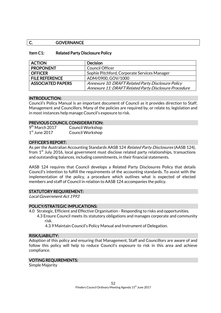# C. GOVERNANCE

# Item C1: Related Party Disclosure Policy

| <b>ACTION</b>            | <b>Decision</b>                                       |
|--------------------------|-------------------------------------------------------|
| <b>PROPONENT</b>         | <b>Council Officer</b>                                |
| <b>OFFICER</b>           | Sophie Pitchford, Corporate Services Manager          |
| <b>FILE REFERENCE</b>    | ADM/0900, GOV/1000                                    |
| <b>ASSOCIATED PAPERS</b> | Annexure 10: DRAFT Related Party Disclosure Policy    |
|                          | Annexure 11: DRAFT Related Party Disclosure Procedure |

#### INTRODUCTION:

Council's Policy Manual is an important document of Council as it provides direction to Staff, Management and Councillors. Many of the policies are required by, or relate to, legislation and in most instances help manage Council's exposure to risk.

#### PREVIOUS COUNCIL CONSIDERATION:

| $9th$ March 2017 | <b>Council Workshop</b> |
|------------------|-------------------------|
| $1st$ June 2017  | <b>Council Workshop</b> |

#### OFFICER'S REPORT:

As per the Australian Accounting Standards AASB 124 Related Party Disclosures (AASB 124), from  $1<sup>st</sup>$  July 2016, local government must disclose related party relationships, transactions and outstanding balances, including commitments, in their financial statements.

AASB 124 requires that Council develops a Related Party Disclosures Policy that details Council's intention to fulfill the requirements of the accounting standards. To assist with the implementation of the policy, a procedure which outlines what is expected of elected members and staff of Council in relation to AASB 124 accompanies the policy.

#### STATUTORY REQUIREMENT:

Local Government Act 1993

#### POLICY/STRATEGIC IMPLICATIONS:

- 4.0 Strategic, Efficient and Effective Organisation Responding to risks and opportunities.
	- 4.3 Ensure Council meets its statutory obligations and manages corporate and community risk.

4.3.9 Maintain Council's Policy Manual and Instrument of Delegation.

#### RISK/LIABILITY:

Adoption of this policy and ensuring that Management, Staff and Councillors are aware of and follow this policy will help to reduce Council's exposure to risk in this area and achieve compliance.

#### VOTING REQUIREMENTS:

Simple Majority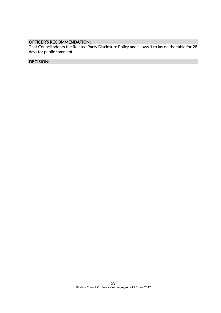# OFFICER'S RECOMMENDATION:

That Council adopts the Related Party Disclosure Policy and allows it to lay on the table for 28 days for public comment.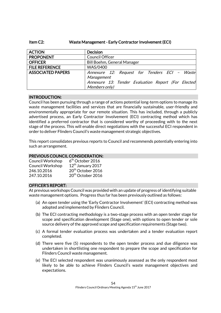# Item C2: Waste Management - Early Contractor Involvement (ECI)

| <b>ACTION</b>            | <b>Decision</b>                                     |
|--------------------------|-----------------------------------------------------|
| <b>PROPONENT</b>         | Council Officer                                     |
| <b>OFFICER</b>           | Bill Boehm, General Manager                         |
| <b>FILE REFERENCE</b>    | WAS/0400                                            |
| <b>ASSOCIATED PAPERS</b> | Annexure 12: Request for Tenders ECI - Waste        |
|                          | Management                                          |
|                          | Annexure 13: Tender Evaluation Report (For Elected) |
|                          | Members only)                                       |

# INTRODUCTION:

Council has been pursuing through a range of actions potential long-term options to manage its waste management facilities and services that are financially sustainable, user-friendly and environmentally appropriate for our remote situation. This has included, through a publicly advertised process, an Early Contractor Involvement (ECI) contracting method which has identified a preferred contractor that is considered worthy of proceeding with to the next stage of the process. This will enable direct negotiations with the successful ECI respondent in order to deliver Flinders Council's waste management strategic objectives.

This report consolidates previous reports to Council and recommends potentially entering into such an arrangement.

#### PREVIOUS COUNCIL CONSIDERATION:

| <b>Council Workshop</b> | $6th$ October 2016            |
|-------------------------|-------------------------------|
| <b>Council Workshop</b> | 12 <sup>th</sup> January 2017 |
| 246.10.2016             | 20 <sup>th</sup> October 2016 |
| 247.10.2016             | 20 <sup>th</sup> October 2016 |

#### OFFICER'S REPORT:

At previous workshops Council was provided with an update of progress of identifying suitable waste management options. Progress thus far has been previously outlined as follows:

- (a) An open tender using the 'Early Contractor Involvement' (ECI) contracting method was adopted and implemented by Flinders Council.
- (b) The ECI contracting methodology is a two-stage process with an open tender stage for scope and specification development (Stage one), with options to open tender or sole source delivery of the approved scope and specification requirements (Stage two).
- (c) A formal tender evaluation process was undertaken and a tender evaluation report completed.
- (d) There were five (5) respondents to the open tender process and due diligence was undertaken in shortlisting one respondent to prepare the scope and specification for Flinders Council waste management.
- (e) The ECI selected respondent was unanimously assessed as the only respondent most likely to be able to achieve Flinders Council's waste management objectives and expectations.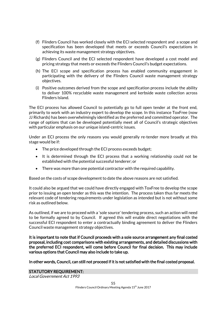- (f) Flinders Council has worked closely with the ECI selected respondent and a scope and specification has been developed that meets or exceeds Council's expectations in achieving its waste management strategy objectives.
- (g) Flinders Council and the ECI selected respondent have developed a cost model and pricing strategy that meets or exceeds the Flinders Council's budget expectations.
- (h) The ECI scope and specification process has enabled community engagement in participating with the delivery of the Flinders Council waste management strategy objectives.
- (i) Positive outcomes derived from the scope and specification process include the ability to deliver 100% recyclable waste management and kerbside waste collection across Flinders Island.

The ECI process has allowed Council to potentially go to full open tender at the front end, primarily to work with an industry expert to develop the scope. In this instance ToxFree (now JJ Richards) has been overwhelmingly identified as the preferred and committed operator. The range of options that can be developed potentially meet all of Council's strategic objectives with particular emphasis on our unique island-centric issues.

Under an ECI process the only reasons you would generally re-tender more broadly at this stage would be if:

- The price developed through the ECI process exceeds budget;
- It is determined through the ECI process that a working relationship could not be established with the potential successful tenderer; or
- There was more than one potential contractor with the required capability.

Based on the costs of scope development to date the above reasons are not satisfied.

It could also be argued that we could have directly engaged with ToxFree to develop the scope prior to issuing an open tender as this was the intention. The process taken thus far meets the relevant code of tendering requirements under legislation as intended but is not without some risk as outlined below.

As outlined, if we are to proceed with a 'sole source' tendering process, such an action will need to be formally agreed to by Council. If agreed this will enable direct negotiations with the successful ECI respondent to enter a contractually binding agreement to deliver the Flinders Council waste management strategy objectives.

It is important to note that if Council proceeds with a sole source arrangement any final costed proposal, including cost comparisons with existing arrangements, and detailed discussions with the preferred ECI respondent, will come before Council for final decision. This may include various options that Council may also include to take up.

In other words, Council, can still not proceed if it is not satisfied with the final costed proposal.

#### STATUTORY REQUIREMENT:

Local Government Act 1993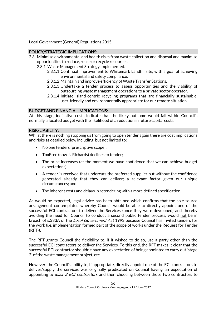Local Government (General) Regulations 2015

# POLICY/STRATEGIC IMPLICATIONS:

- 2.3 Minimise environmental and health risks from waste collection and disposal and maximise opportunities to reduce, reuse or recycle resources.
	- 2.3.1 Waste Management Strategy Implemented.
		- 2.3.1.1 Continual improvement to Whitemark Landfill site, with a goal of achieving environmental and safety compliance.
		- 2.3.1.2 Maintain and improve efficiency of Waste Transfer Stations.
		- 2.3.1.3 Undertake a tender process to assess opportunities and the viability of outsourcing waste management operations to a private sector operator.
		- 2.3.1.4 Initiate island-centric recycling programs that are financially sustainable, user-friendly and environmentally appropriate for our remote situation.

# BUDGET AND FINANCIAL IMPLICATIONS:

At this stage, indicative costs indicate that the likely outcome would fall within Council's normally allocated budget with the likelihood of a reduction in future capital costs.

#### RISK/LIABILITY:

Whilst there is nothing stopping us from going to open tender again there are cost implications and risks as detailed below including, but not limited to:

- No one tenders (prescriptive scope);
- ToxFree (now JJ Richards) declines to tender;
- The price increases (at the moment we have confidence that we can achieve budget expectations);
- A tender is received that undercuts the preferred supplier but without the confidence generated already that they can deliver; a relevant factor given our unique circumstances; and
- The inherent costs and delays in retendering with a more defined specification.

As would be expected, legal advice has been obtained which confirms that the sole source arrangement contemplated whereby Council would be able to directly appoint one of the successful ECI contractors to deliver the Services (once they were developed) and thereby avoiding the need for Council to conduct a second public tender process, would not be in breach of s.333A of the Local Government Act 1993 because Council has invited tenders for the work (i.e. implementation formed part of the scope of works under the Request for Tender (RFT)).

The RFT grants Council the flexibility to, if it wished to do so, use a party other than the successful ECI contractors to deliver the Services. To this end, the RFT makes it clear that the successful ECI contractor shouldn't have any expectation of being appointed to carry out 'stage 2' of the waste management project, etc.

However, the Council's ability to, if appropriate, directly appoint one of the ECI contractors to deliver/supply the services was originally predicated on Council having an expectation of appointing *at least 2 ECI contractors* and then choosing between those two contractors to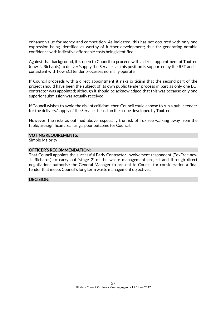enhance value for money and competition. As indicated, this has not occurred with only one expression being identified as worthy of further development; thus far generating notable confidence with indicative affordable costs being identified.

Against that background, it is open to Council to proceed with a direct appointment of Toxfree (now JJ Richards) to deliver/supply the Services as this position is supported by the RFT and is consistent with how ECI tender processes normally operate.

If Council proceeds with a direct appointment it risks criticism that the second part of the project should have been the subject of its own public tender process in part as only one ECI contractor was appointed; although it should be acknowledged that this was because only one superior submission was actually received.

If Council wishes to avoid the risk of criticism, then Council could choose to run a public tender for the delivery/supply of the Services based on the scope developed by Toxfree.

However, the risks as outlined above; especially the risk of Toxfree walking away from the table, are significant realising a poor outcome for Council.

#### VOTING REQUIREMENTS:

Simple Majority

#### OFFICER'S RECOMMENDATION:

That Council appoints the successful Early Contractor Involvement respondent (ToxFree now JJ Richards) to carry out 'stage 2' of the waste management project and through direct negotiations authorise the General Manager to present to Council for consideration a final tender that meets Council's long term waste management objectives.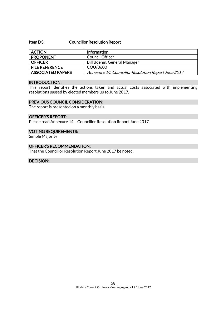#### Item D3: Councillor Resolution Report

| <b>ACTION</b>            | <b>Information</b>                                  |
|--------------------------|-----------------------------------------------------|
| <b>PROPONENT</b>         | Council Officer                                     |
| <b>OFFICER</b>           | Bill Boehm, General Manager                         |
| <b>FILE REFERENCE</b>    | COU/0600                                            |
| <b>ASSOCIATED PAPERS</b> | Annexure 14: Councillor Resolution Report June 2017 |

#### INTRODUCTION:

This report identifies the actions taken and actual costs associated with implementing resolutions passed by elected members up to June 2017.

#### PREVIOUS COUNCIL CONSIDERATION:

The report is presented on a monthly basis.

#### OFFICER'S REPORT:

Please read Annexure 14 – Councillor Resolution Report June 2017.

#### VOTING REQUIREMENTS:

Simple Majority

# OFFICER'S RECOMMENDATION:

That the Councillor Resolution Report June 2017 be noted.